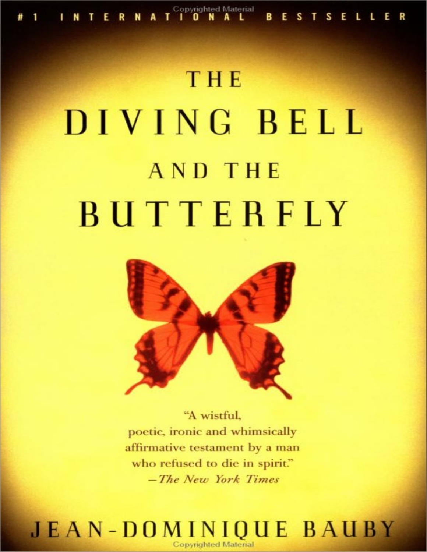# THE DIVING BELL AND THE BUTTERFLY



"A wistful, poetic, ironic and whimsically affirmative testament by a man who refused to die in spirit." -The New York Times

#### **JEAN-DOMINIQUE BAUBY Copyrighted Material**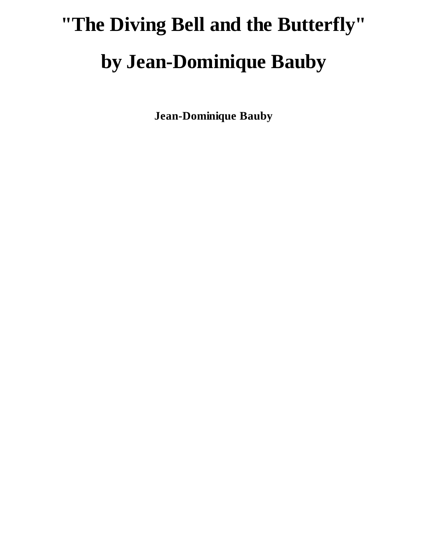## **"The Diving Bell and the Butterfly" by Jean-Dominique Bauby**

**Jean-Dominique Bauby**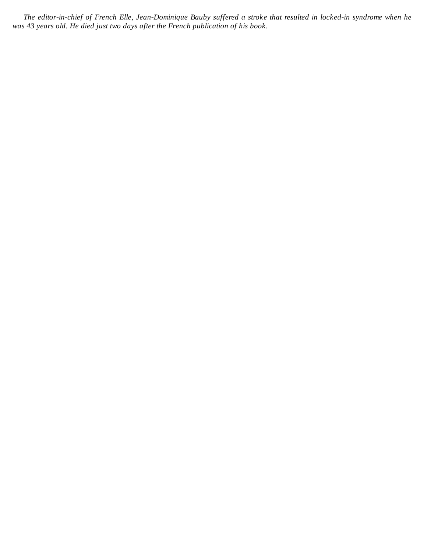The editor-in-chief of French Elle, Jean-Dominique Bauby suffered a stroke that resulted in locked-in syndrome when he *was 43 years old. He died just two days after the French publication of his book.*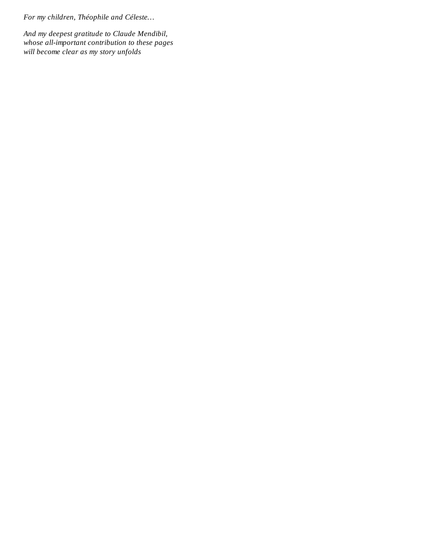*For my children, Théophile and Céleste…*

*And my deepest gratitude to Claude Mendibil, whose all-important contribution to these pages will become clear as my story unfolds*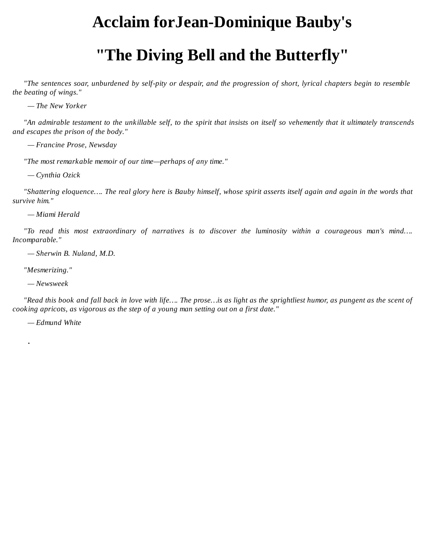## **Acclaim forJean-Dominique Bauby's**

**"The Diving Bell and the Butterfly"**

"The sentences soar, unburdened by self-pity or despair, and the progression of short, lyrical chapters begin to resemble *the beating of wings."*

*— The New Yorker*

"An admirable testament to the unkillable self, to the spirit that insists on itself so vehemently that it ultimately transcends *and escapes the prison of the body."*

*— Francine Prose, Newsday*

*"The most remarkable memoir of our time—perhaps of any time."*

*— Cynthia Ozick*

"Shattering eloquence.... The real glory here is Bauby himself, whose spirit asserts itself again and again in the words that *survive him."*

*— Miami Herald*

"To read this most extraordinary of narratives is to discover the luminosity within a courageous man's mind.... *Incomparable."*

*— Sherwin B. Nuland, M.D.*

*"Mesmerizing."*

*— Newsweek*

"Read this book and fall back in love with life.... The prose...is as light as the sprightliest humor, as pungent as the scent of *cooking apricots, as vigorous as the step of a young man setting out on a first date."*

*— Edmund White*

.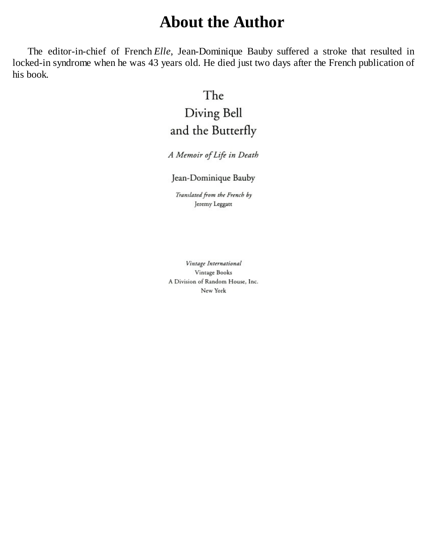#### **About the Author**

The editor-in-chief of French *Elle*, Jean-Dominique Bauby suffered a stroke that resulted in locked-in syndrome when he was 43 years old. He died just two days after the French publication of his book.

#### The

Diving Bell and the Butterfly

A Memoir of Life in Death

Jean-Dominique Bauby

Translated from the French by Jeremy Leggatt

Vintage International Vintage Books A Division of Random House, Inc. New York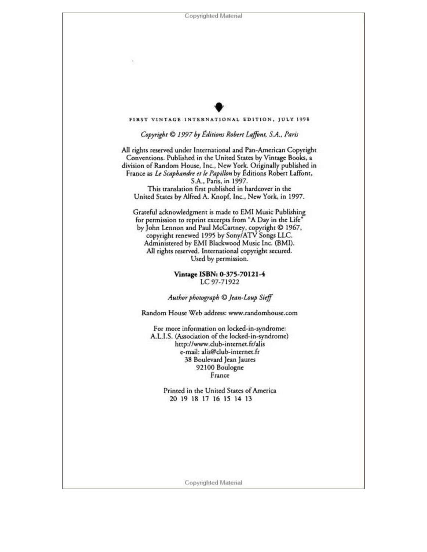#### FIRST VINTAGE INTERNATIONAL EDITION, JULY 1998

#### Copyright © 1997 by Éditions Robert Laffont, S.A., Paris

All rights reserved under International and Pan-American Copyright Conventions. Published in the United States by Vintage Books, a division of Random House, Inc., New York. Originally published in France as Le Scaphandre et le Papillon by Éditions Robert Laffont, S.A., Paris, in 1997.

This translation first published in hardcover in the United States by Alfred A. Knopf, Inc., New York, in 1997.

Grateful acknowledgment is made to EMI Music Publishing for permission to reprint excerpts from "A Day in the Life" by John Lennon and Paul McCartney, copyright @ 1967, copyright renewed 1995 by Sony/ATV Songs LLC. Administered by EMI Blackwood Music Inc. (BMI). All rights reserved. International copyright secured. Used by permission.

> Vintage ISBN: 0-375-70121-4 LC 97-71922

Author photograph © Jean-Loup Sieff

Random House Web address: www.randomhouse.com

For more information on locked-in-syndrome: A.L.I.S. (Association of the locked-in-syndrome) http://www.club-internet.fr/alis e-mail: alis@club-internet.fr 38 Boulevard Jean Jaures 92100 Boulogne France

> Printed in the United States of America 20 19 18 17 16 15 14 13

> > Copyrighted Material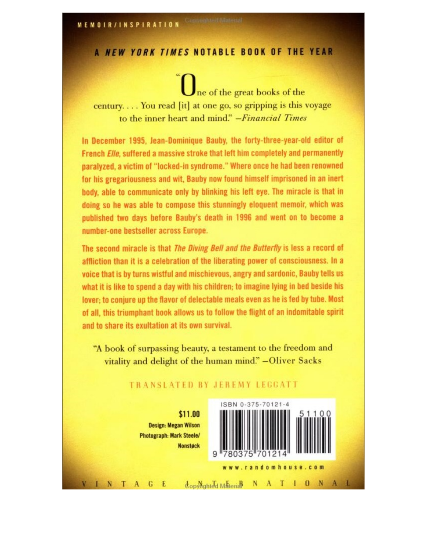#### MEMOIR/INSPIRATION Construction

#### A NEW YORK TIMES NOTABLE BOOK OF THE YEAR

ne of the great books of the century... You read [it] at one go, so gripping is this voyage to the inner heart and mind." - Financial Times

In December 1995, Jean-Dominique Bauby, the forty-three-year-old editor of French Elle, suffered a massive stroke that left him completely and permanently paralyzed, a victim of "locked-in syndrome." Where once he had been renowned for his gregariousness and wit, Bauby now found himself imprisoned in an inert body, able to communicate only by blinking his left eye. The miracle is that in doing so he was able to compose this stunningly eloquent memoir, which was published two days before Bauby's death in 1996 and went on to become a number-one bestseller across Europe.

The second miracle is that The Diving Bell and the Butterfly is less a record of affliction than it is a celebration of the liberating power of consciousness. In a voice that is by turns wistful and mischievous, angry and sardonic, Bauby tells us what it is like to spend a day with his children; to imagine lying in bed beside his lover; to conjure up the flavor of delectable meals even as he is fed by tube. Most of all, this triumphant book allows us to follow the flight of an indomitable spirit and to share its exultation at its own survival.

"A book of surpassing beauty, a testament to the freedom and vitality and delight of the human mind." -Oliver Sacks



#### TRANSLATED BY JEREMY LEGGATT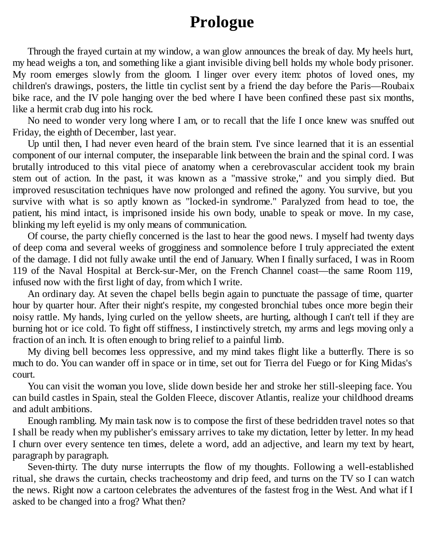## **Prologue**

Through the frayed curtain at my window, a wan glow announces the break of day. My heels hurt, my head weighs a ton, and something like a giant invisible diving bell holds my whole body prisoner. My room emerges slowly from the gloom. I linger over every item: photos of loved ones, my children's drawings, posters, the little tin cyclist sent by a friend the day before the Paris—Roubaix bike race, and the IV pole hanging over the bed where I have been confined these past six months, like a hermit crab dug into his rock.

No need to wonder very long where I am, or to recall that the life I once knew was snuffed out Friday, the eighth of December, last year.

Up until then, I had never even heard of the brain stem. I've since learned that it is an essential component of our internal computer, the inseparable link between the brain and the spinal cord. I was brutally introduced to this vital piece of anatomy when a cerebrovascular accident took my brain stem out of action. In the past, it was known as a "massive stroke," and you simply died. But improved resuscitation techniques have now prolonged and refined the agony. You survive, but you survive with what is so aptly known as "locked-in syndrome." Paralyzed from head to toe, the patient, his mind intact, is imprisoned inside his own body, unable to speak or move. In my case, blinking my left eyelid is my only means of communication.

Of course, the party chiefly concerned is the last to hear the good news. I myself had twenty days of deep coma and several weeks of grogginess and somnolence before I truly appreciated the extent of the damage. I did not fully awake until the end of January. When I finally surfaced, I was in Room 119 of the Naval Hospital at Berck-sur-Mer, on the French Channel coast—the same Room 119, infused now with the first light of day, from which I write.

An ordinary day. At seven the chapel bells begin again to punctuate the passage of time, quarter hour by quarter hour. After their night's respite, my congested bronchial tubes once more begin their noisy rattle. My hands, lying curled on the yellow sheets, are hurting, although I can't tell if they are burning hot or ice cold. To fight off stiffness, I instinctively stretch, my arms and legs moving only a fraction of an inch. It is often enough to bring relief to a painful limb.

My diving bell becomes less oppressive, and my mind takes flight like a butterfly. There is so much to do. You can wander off in space or in time, set out for Tierra del Fuego or for King Midas's court.

You can visit the woman you love, slide down beside her and stroke her still-sleeping face. You can build castles in Spain, steal the Golden Fleece, discover Atlantis, realize your childhood dreams and adult ambitions.

Enough rambling. My main task now is to compose the first of these bedridden travel notes so that I shall be ready when my publisher's emissary arrives to take my dictation, letter by letter. In my head I churn over every sentence ten times, delete a word, add an adjective, and learn my text by heart, paragraph by paragraph.

Seven-thirty. The duty nurse interrupts the flow of my thoughts. Following a well-established ritual, she draws the curtain, checks tracheostomy and drip feed, and turns on the TV so I can watch the news. Right now a cartoon celebrates the adventures of the fastest frog in the West. And what if I asked to be changed into a frog? What then?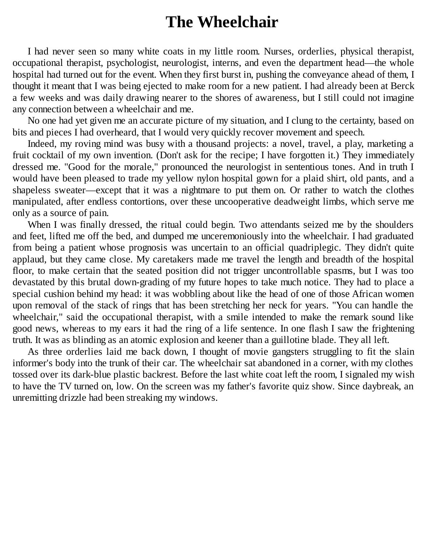#### **The Wheelchair**

I had never seen so many white coats in my little room. Nurses, orderlies, physical therapist, occupational therapist, psychologist, neurologist, interns, and even the department head—the whole hospital had turned out for the event. When they first burst in, pushing the conveyance ahead of them, I thought it meant that I was being ejected to make room for a new patient. I had already been at Berck a few weeks and was daily drawing nearer to the shores of awareness, but I still could not imagine any connection between a wheelchair and me.

No one had yet given me an accurate picture of my situation, and I clung to the certainty, based on bits and pieces I had overheard, that I would very quickly recover movement and speech.

Indeed, my roving mind was busy with a thousand projects: a novel, travel, a play, marketing a fruit cocktail of my own invention. (Don't ask for the recipe; I have forgotten it.) They immediately dressed me. "Good for the morale," pronounced the neurologist in sententious tones. And in truth I would have been pleased to trade my yellow nylon hospital gown for a plaid shirt, old pants, and a shapeless sweater—except that it was a nightmare to put them on. Or rather to watch the clothes manipulated, after endless contortions, over these uncooperative deadweight limbs, which serve me only as a source of pain.

When I was finally dressed, the ritual could begin. Two attendants seized me by the shoulders and feet, lifted me off the bed, and dumped me unceremoniously into the wheelchair. I had graduated from being a patient whose prognosis was uncertain to an official quadriplegic. They didn't quite applaud, but they came close. My caretakers made me travel the length and breadth of the hospital floor, to make certain that the seated position did not trigger uncontrollable spasms, but I was too devastated by this brutal down-grading of my future hopes to take much notice. They had to place a special cushion behind my head: it was wobbling about like the head of one of those African women upon removal of the stack of rings that has been stretching her neck for years. "You can handle the wheelchair," said the occupational therapist, with a smile intended to make the remark sound like good news, whereas to my ears it had the ring of a life sentence. In one flash I saw the frightening truth. It was as blinding as an atomic explosion and keener than a guillotine blade. They all left.

As three orderlies laid me back down, I thought of movie gangsters struggling to fit the slain informer's body into the trunk of their car. The wheelchair sat abandoned in a corner, with my clothes tossed over its dark-blue plastic backrest. Before the last white coat left the room, I signaled my wish to have the TV turned on, low. On the screen was my father's favorite quiz show. Since daybreak, an unremitting drizzle had been streaking my windows.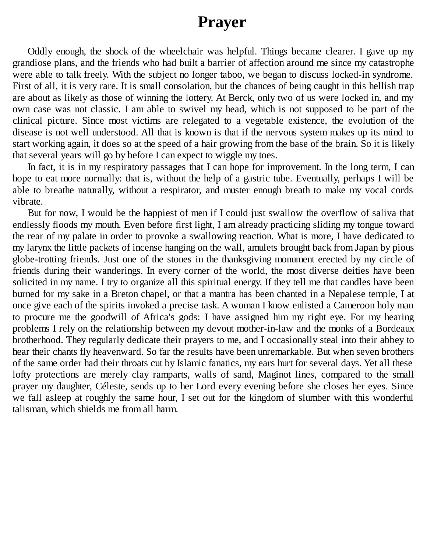#### **Prayer**

Oddly enough, the shock of the wheelchair was helpful. Things became clearer. I gave up my grandiose plans, and the friends who had built a barrier of affection around me since my catastrophe were able to talk freely. With the subject no longer taboo, we began to discuss locked-in syndrome. First of all, it is very rare. It is small consolation, but the chances of being caught in this hellish trap are about as likely as those of winning the lottery. At Berck, only two of us were locked in, and my own case was not classic. I am able to swivel my head, which is not supposed to be part of the clinical picture. Since most victims are relegated to a vegetable existence, the evolution of the disease is not well understood. All that is known is that if the nervous system makes up its mind to start working again, it does so at the speed of a hair growing from the base of the brain. So it is likely that several years will go by before I can expect to wiggle my toes.

In fact, it is in my respiratory passages that I can hope for improvement. In the long term, I can hope to eat more normally: that is, without the help of a gastric tube. Eventually, perhaps I will be able to breathe naturally, without a respirator, and muster enough breath to make my vocal cords vibrate.

But for now, I would be the happiest of men if I could just swallow the overflow of saliva that endlessly floods my mouth. Even before first light, I am already practicing sliding my tongue toward the rear of my palate in order to provoke a swallowing reaction. What is more, I have dedicated to my larynx the little packets of incense hanging on the wall, amulets brought back from Japan by pious globe-trotting friends. Just one of the stones in the thanksgiving monument erected by my circle of friends during their wanderings. In every corner of the world, the most diverse deities have been solicited in my name. I try to organize all this spiritual energy. If they tell me that candles have been burned for my sake in a Breton chapel, or that a mantra has been chanted in a Nepalese temple, I at once give each of the spirits invoked a precise task. A woman I know enlisted a Cameroon holy man to procure me the goodwill of Africa's gods: I have assigned him my right eye. For my hearing problems I rely on the relationship between my devout mother-in-law and the monks of a Bordeaux brotherhood. They regularly dedicate their prayers to me, and I occasionally steal into their abbey to hear their chants fly heavenward. So far the results have been unremarkable. But when seven brothers of the same order had their throats cut by Islamic fanatics, my ears hurt for several days. Yet all these lofty protections are merely clay ramparts, walls of sand, Maginot lines, compared to the small prayer my daughter, Céleste, sends up to her Lord every evening before she closes her eyes. Since we fall asleep at roughly the same hour, I set out for the kingdom of slumber with this wonderful talisman, which shields me from all harm.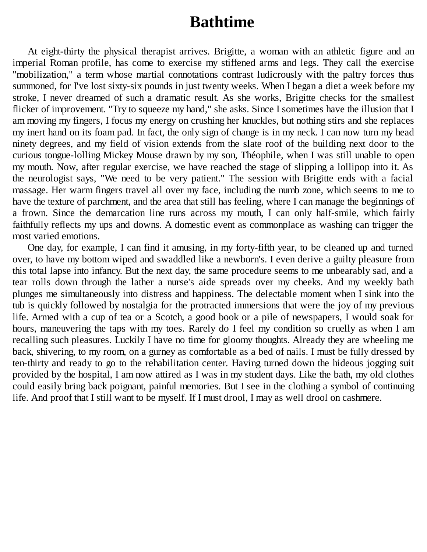#### **Bathtime**

At eight-thirty the physical therapist arrives. Brigitte, a woman with an athletic figure and an imperial Roman profile, has come to exercise my stiffened arms and legs. They call the exercise "mobilization," a term whose martial connotations contrast ludicrously with the paltry forces thus summoned, for I've lost sixty-six pounds in just twenty weeks. When I began a diet a week before my stroke, I never dreamed of such a dramatic result. As she works, Brigitte checks for the smallest flicker of improvement. "Try to squeeze my hand," she asks. Since I sometimes have the illusion that I am moving my fingers, I focus my energy on crushing her knuckles, but nothing stirs and she replaces my inert hand on its foam pad. In fact, the only sign of change is in my neck. I can now turn my head ninety degrees, and my field of vision extends from the slate roof of the building next door to the curious tongue-lolling Mickey Mouse drawn by my son, Théophile, when I was still unable to open my mouth. Now, after regular exercise, we have reached the stage of slipping a lollipop into it. As the neurologist says, "We need to be very patient." The session with Brigitte ends with a facial massage. Her warm fingers travel all over my face, including the numb zone, which seems to me to have the texture of parchment, and the area that still has feeling, where I can manage the beginnings of a frown. Since the demarcation line runs across my mouth, I can only half-smile, which fairly faithfully reflects my ups and downs. A domestic event as commonplace as washing can trigger the most varied emotions.

One day, for example, I can find it amusing, in my forty-fifth year, to be cleaned up and turned over, to have my bottom wiped and swaddled like a newborn's. I even derive a guilty pleasure from this total lapse into infancy. But the next day, the same procedure seems to me unbearably sad, and a tear rolls down through the lather a nurse's aide spreads over my cheeks. And my weekly bath plunges me simultaneously into distress and happiness. The delectable moment when I sink into the tub is quickly followed by nostalgia for the protracted immersions that were the joy of my previous life. Armed with a cup of tea or a Scotch, a good book or a pile of newspapers, I would soak for hours, maneuvering the taps with my toes. Rarely do I feel my condition so cruelly as when I am recalling such pleasures. Luckily I have no time for gloomy thoughts. Already they are wheeling me back, shivering, to my room, on a gurney as comfortable as a bed of nails. I must be fully dressed by ten-thirty and ready to go to the rehabilitation center. Having turned down the hideous jogging suit provided by the hospital, I am now attired as I was in my student days. Like the bath, my old clothes could easily bring back poignant, painful memories. But I see in the clothing a symbol of continuing life. And proof that I still want to be myself. If I must drool, I may as well drool on cashmere.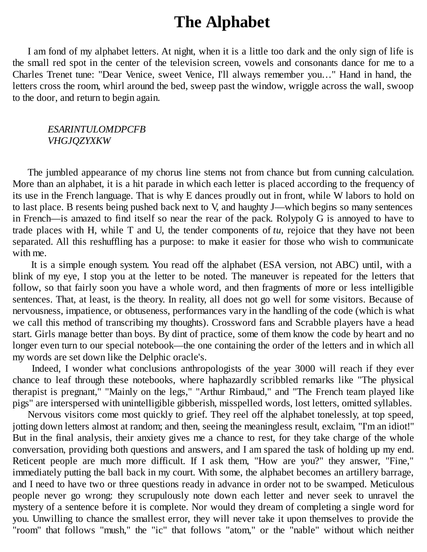#### **The Alphabet**

I am fond of my alphabet letters. At night, when it is a little too dark and the only sign of life is the small red spot in the center of the television screen, vowels and consonants dance for me to a Charles Trenet tune: "Dear Venice, sweet Venice, I'll always remember you…" Hand in hand, the letters cross the room, whirl around the bed, sweep past the window, wriggle across the wall, swoop to the door, and return to begin again.

*ESARINTULOMDPCFB VHGJQZYXKW*

The jumbled appearance of my chorus line stems not from chance but from cunning calculation. More than an alphabet, it is a hit parade in which each letter is placed according to the frequency of its use in the French language. That is why E dances proudly out in front, while W labors to hold on to last place. B resents being pushed back next to V, and haughty J—which begins so many sentences in French—is amazed to find itself so near the rear of the pack. Rolypoly G is annoyed to have to trade places with H, while T and U, the tender components of *tu*, rejoice that they have not been separated. All this reshuffling has a purpose: to make it easier for those who wish to communicate with me.

It is a simple enough system. You read off the alphabet (ESA version, not ABC) until, with a blink of my eye, I stop you at the letter to be noted. The maneuver is repeated for the letters that follow, so that fairly soon you have a whole word, and then fragments of more or less intelligible sentences. That, at least, is the theory. In reality, all does not go well for some visitors. Because of nervousness, impatience, or obtuseness, performances vary in the handling of the code (which is what we call this method of transcribing my thoughts). Crossword fans and Scrabble players have a head start. Girls manage better than boys. By dint of practice, some of them know the code by heart and no longer even turn to our special notebook—the one containing the order of the letters and in which all my words are set down like the Delphic oracle's.

Indeed, I wonder what conclusions anthropologists of the year 3000 will reach if they ever chance to leaf through these notebooks, where haphazardly scribbled remarks like "The physical therapist is pregnant," "Mainly on the legs," "Arthur Rimbaud," and "The French team played like pigs" are interspersed with unintelligible gibberish, misspelled words, lost letters, omitted syllables.

Nervous visitors come most quickly to grief. They reel off the alphabet tonelessly, at top speed, jotting down letters almost at random; and then, seeing the meaningless result, exclaim, "I'm an idiot!" But in the final analysis, their anxiety gives me a chance to rest, for they take charge of the whole conversation, providing both questions and answers, and I am spared the task of holding up my end. Reticent people are much more difficult. If I ask them, "How are you?" they answer, "Fine," immediately putting the ball back in my court. With some, the alphabet becomes an artillery barrage, and I need to have two or three questions ready in advance in order not to be swamped. Meticulous people never go wrong: they scrupulously note down each letter and never seek to unravel the mystery of a sentence before it is complete. Nor would they dream of completing a single word for you. Unwilling to chance the smallest error, they will never take it upon themselves to provide the "room" that follows "mush," the "ic" that follows "atom," or the "nable" without which neither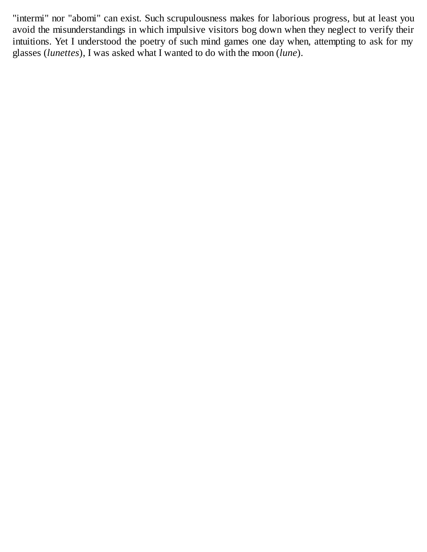"intermi" nor "abomi" can exist. Such scrupulousness makes for laborious progress, but at least you avoid the misunderstandings in which impulsive visitors bog down when they neglect to verify their intuitions. Yet I understood the poetry of such mind games one day when, attempting to ask for my glasses (*lunettes*), I was asked what I wanted to do with the moon (*lune*).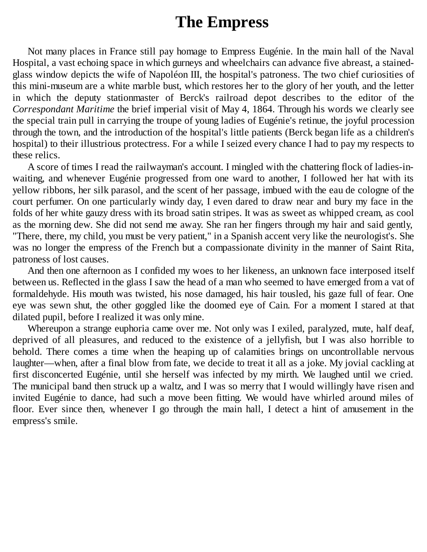## **The Empress**

Not many places in France still pay homage to Empress Eugénie. In the main hall of the Naval Hospital, a vast echoing space in which gurneys and wheelchairs can advance five abreast, a stainedglass window depicts the wife of Napoléon III, the hospital's patroness. The two chief curiosities of this mini-museum are a white marble bust, which restores her to the glory of her youth, and the letter in which the deputy stationmaster of Berck's railroad depot describes to the editor of the *Correspondant Maritime* the brief imperial visit of May 4, 1864. Through his words we clearly see the special train pull in carrying the troupe of young ladies of Eugénie's retinue, the joyful procession through the town, and the introduction of the hospital's little patients (Berck began life as a children's hospital) to their illustrious protectress. For a while I seized every chance I had to pay my respects to these relics.

A score of times I read the railwayman's account. I mingled with the chattering flock of ladies-inwaiting, and whenever Eugénie progressed from one ward to another, I followed her hat with its yellow ribbons, her silk parasol, and the scent of her passage, imbued with the eau de cologne of the court perfumer. On one particularly windy day, I even dared to draw near and bury my face in the folds of her white gauzy dress with its broad satin stripes. It was as sweet as whipped cream, as cool as the morning dew. She did not send me away. She ran her fingers through my hair and said gently, "There, there, my child, you must be very patient," in a Spanish accent very like the neurologist's. She was no longer the empress of the French but a compassionate divinity in the manner of Saint Rita, patroness of lost causes.

And then one afternoon as I confided my woes to her likeness, an unknown face interposed itself between us. Reflected in the glass I saw the head of a man who seemed to have emerged from a vat of formaldehyde. His mouth was twisted, his nose damaged, his hair tousled, his gaze full of fear. One eye was sewn shut, the other goggled like the doomed eye of Cain. For a moment I stared at that dilated pupil, before I realized it was only mine.

Whereupon a strange euphoria came over me. Not only was I exiled, paralyzed, mute, half deaf, deprived of all pleasures, and reduced to the existence of a jellyfish, but I was also horrible to behold. There comes a time when the heaping up of calamities brings on uncontrollable nervous laughter—when, after a final blow from fate, we decide to treat it all as a joke. My jovial cackling at first disconcerted Eugénie, until she herself was infected by my mirth. We laughed until we cried. The municipal band then struck up a waltz, and I was so merry that I would willingly have risen and invited Eugénie to dance, had such a move been fitting. We would have whirled around miles of floor. Ever since then, whenever I go through the main hall, I detect a hint of amusement in the empress's smile.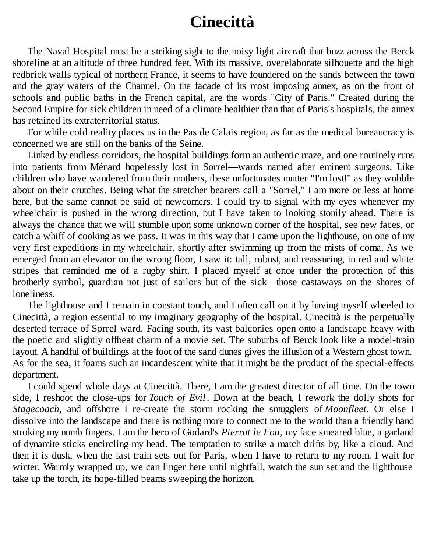#### **Cinecittà**

The Naval Hospital must be a striking sight to the noisy light aircraft that buzz across the Berck shoreline at an altitude of three hundred feet. With its massive, overelaborate silhouette and the high redbrick walls typical of northern France, it seems to have foundered on the sands between the town and the gray waters of the Channel. On the facade of its most imposing annex, as on the front of schools and public baths in the French capital, are the words "City of Paris." Created during the Second Empire for sick children in need of a climate healthier than that of Paris's hospitals, the annex has retained its extraterritorial status.

For while cold reality places us in the Pas de Calais region, as far as the medical bureaucracy is concerned we are still on the banks of the Seine.

Linked by endless corridors, the hospital buildings form an authentic maze, and one routinely runs into patients from Ménard hopelessly lost in Sorrel—wards named after eminent surgeons. Like children who have wandered from their mothers, these unfortunates mutter "I'm lost!" as they wobble about on their crutches. Being what the stretcher bearers call a "Sorrel," I am more or less at home here, but the same cannot be said of newcomers. I could try to signal with my eyes whenever my wheelchair is pushed in the wrong direction, but I have taken to looking stonily ahead. There is always the chance that we will stumble upon some unknown corner of the hospital, see new faces, or catch a whiff of cooking as we pass. It was in this way that I came upon the lighthouse, on one of my very first expeditions in my wheelchair, shortly after swimming up from the mists of coma. As we emerged from an elevator on the wrong floor, I saw it: tall, robust, and reassuring, in red and white stripes that reminded me of a rugby shirt. I placed myself at once under the protection of this brotherly symbol, guardian not just of sailors but of the sick—those castaways on the shores of loneliness.

The lighthouse and I remain in constant touch, and I often call on it by having myself wheeled to Cinecittà, a region essential to my imaginary geography of the hospital. Cinecittà is the perpetually deserted terrace of Sorrel ward. Facing south, its vast balconies open onto a landscape heavy with the poetic and slightly offbeat charm of a movie set. The suburbs of Berck look like a model-train layout. A handful of buildings at the foot of the sand dunes gives the illusion of a Western ghost town. As for the sea, it foams such an incandescent white that it might be the product of the special-effects department.

I could spend whole days at Cinecittà. There, I am the greatest director of all time. On the town side, I reshoot the close-ups for *Touch of Evil*. Down at the beach, I rework the dolly shots for *Stagecoach*, and offshore I re-create the storm rocking the smugglers of *Moonfleet*. Or else I dissolve into the landscape and there is nothing more to connect me to the world than a friendly hand stroking my numb fingers. I am the hero of Godard's *Pierrot le Fou*, my face smeared blue, a garland of dynamite sticks encircling my head. The temptation to strike a match drifts by, like a cloud. And then it is dusk, when the last train sets out for Paris, when I have to return to my room. I wait for winter. Warmly wrapped up, we can linger here until nightfall, watch the sun set and the lighthouse take up the torch, its hope-filled beams sweeping the horizon.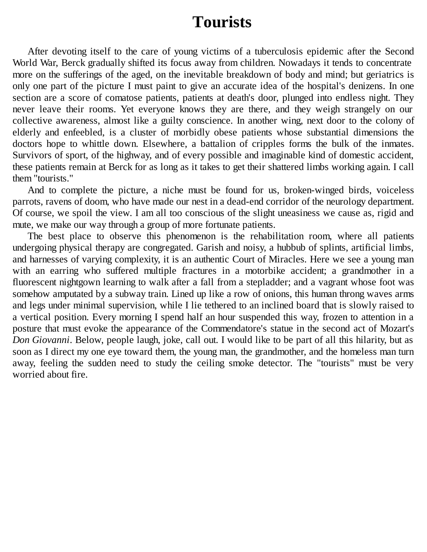#### **Tourists**

After devoting itself to the care of young victims of a tuberculosis epidemic after the Second World War, Berck gradually shifted its focus away from children. Nowadays it tends to concentrate more on the sufferings of the aged, on the inevitable breakdown of body and mind; but geriatrics is only one part of the picture I must paint to give an accurate idea of the hospital's denizens. In one section are a score of comatose patients, patients at death's door, plunged into endless night. They never leave their rooms. Yet everyone knows they are there, and they weigh strangely on our collective awareness, almost like a guilty conscience. In another wing, next door to the colony of elderly and enfeebled, is a cluster of morbidly obese patients whose substantial dimensions the doctors hope to whittle down. Elsewhere, a battalion of cripples forms the bulk of the inmates. Survivors of sport, of the highway, and of every possible and imaginable kind of domestic accident, these patients remain at Berck for as long as it takes to get their shattered limbs working again. I call them "tourists."

And to complete the picture, a niche must be found for us, broken-winged birds, voiceless parrots, ravens of doom, who have made our nest in a dead-end corridor of the neurology department. Of course, we spoil the view. I am all too conscious of the slight uneasiness we cause as, rigid and mute, we make our way through a group of more fortunate patients.

The best place to observe this phenomenon is the rehabilitation room, where all patients undergoing physical therapy are congregated. Garish and noisy, a hubbub of splints, artificial limbs, and harnesses of varying complexity, it is an authentic Court of Miracles. Here we see a young man with an earring who suffered multiple fractures in a motorbike accident; a grandmother in a fluorescent nightgown learning to walk after a fall from a stepladder; and a vagrant whose foot was somehow amputated by a subway train. Lined up like a row of onions, this human throng waves arms and legs under minimal supervision, while I lie tethered to an inclined board that is slowly raised to a vertical position. Every morning I spend half an hour suspended this way, frozen to attention in a posture that must evoke the appearance of the Commendatore's statue in the second act of Mozart's *Don Giovanni*. Below, people laugh, joke, call out. I would like to be part of all this hilarity, but as soon as I direct my one eye toward them, the young man, the grandmother, and the homeless man turn away, feeling the sudden need to study the ceiling smoke detector. The "tourists" must be very worried about fire.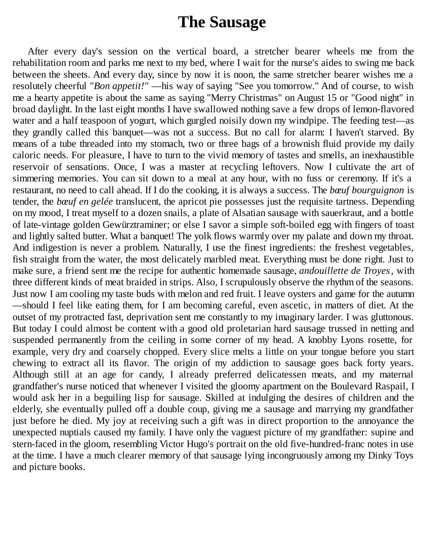#### **The Sausage**

After every day's session on the vertical board, a stretcher bearer wheels me from the rehabilitation room and parks me next to my bed, where I wait for the nurse's aides to swing me back between the sheets. And every day, since by now it is noon, the same stretcher bearer wishes me a resolutely cheerful *"Bon appetit!"* —his way of saying "See you tomorrow." And of course, to wish me a hearty appetite is about the same as saying "Merry Christmas" on August 15 or "Good night" in broad daylight. In the last eight months I have swallowed nothing save a few drops of lemon-flavored water and a half teaspoon of yogurt, which gurgled noisily down my windpipe. The feeding test—as they grandly called this banquet—was not a success. But no call for alarm: I haven't starved. By means of a tube threaded into my stomach, two or three bags of a brownish fluid provide my daily caloric needs. For pleasure, I have to turn to the vivid memory of tastes and smells, an inexhaustible reservoir of sensations. Once, I was a master at recycling leftovers. Now I cultivate the art of simmering memories. You can sit down to a meal at any hour, with no fuss or ceremony. If it's a restaurant, no need to call ahead. If I do the cooking, it is always a success. The *bœuf bourguignon* is tender, the *bœuf en gelée* translucent, the apricot pie possesses just the requisite tartness. Depending on my mood, I treat myself to a dozen snails, a plate of Alsatian sausage with sauerkraut, and a bottle of late-vintage golden Gewürztraminer; or else I savor a simple soft-boiled egg with fingers of toast and lightly salted butter. What a banquet! The yolk flows warmly over my palate and down my throat. And indigestion is never a problem. Naturally, I use the finest ingredients: the freshest vegetables, fish straight from the water, the most delicately marbled meat. Everything must be done right. Just to make sure, a friend sent me the recipe for authentic homemade sausage, *andouillette de Troyes*, with three different kinds of meat braided in strips. Also, I scrupulously observe the rhythm of the seasons. Just now I am cooling my taste buds with melon and red fruit. I leave oysters and game for the autumn —should I feel like eating them, for I am becoming careful, even ascetic, in matters of diet. At the outset of my protracted fast, deprivation sent me constantly to my imaginary larder. I was gluttonous. But today I could almost be content with a good old proletarian hard sausage trussed in netting and suspended permanently from the ceiling in some corner of my head. A knobby Lyons rosette, for example, very dry and coarsely chopped. Every slice melts a little on your tongue before you start chewing to extract all its flavor. The origin of my addiction to sausage goes back forty years. Although still at an age for candy, I already preferred delicatessen meats, and my maternal grandfather's nurse noticed that whenever I visited the gloomy apartment on the Boulevard Raspail, I would ask her in a beguiling lisp for sausage. Skilled at indulging the desires of children and the elderly, she eventually pulled off a double coup, giving me a sausage and marrying my grandfather just before he died. My joy at receiving such a gift was in direct proportion to the annoyance the unexpected nuptials caused my family. I have only the vaguest picture of my grandfather: supine and stern-faced in the gloom, resembling Victor Hugo's portrait on the old five-hundred-franc notes in use at the time. I have a much clearer memory of that sausage lying incongruously among my Dinky Toys and picture books.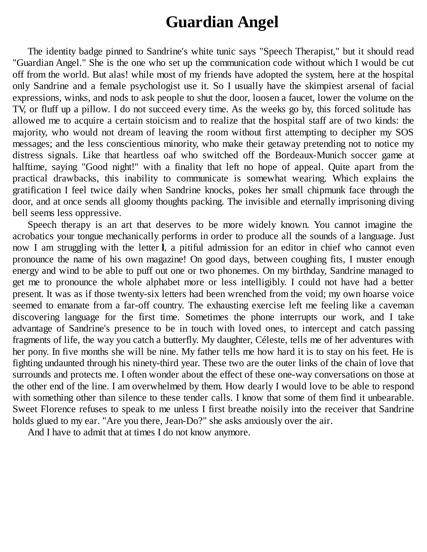#### **Guardian Angel**

The identity badge pinned to Sandrine's white tunic says "Speech Therapist," but it should read "Guardian Angel." She is the one who set up the communication code without which I would be cut off from the world. But alas! while most of my friends have adopted the system, here at the hospital only Sandrine and a female psychologist use it. So I usually have the skimpiest arsenal of facial expressions, winks, and nods to ask people to shut the door, loosen a faucet, lower the volume on the TV, or fluff up a pillow. I do not succeed every time. As the weeks go by, this forced solitude has allowed me to acquire a certain stoicism and to realize that the hospital staff are of two kinds: the majority, who would not dream of leaving the room without first attempting to decipher my SOS messages; and the less conscientious minority, who make their getaway pretending not to notice my distress signals. Like that heartless oaf who switched off the Bordeaux-Munich soccer game at halftime, saying "Good night!" with a finality that left no hope of appeal. Quite apart from the practical drawbacks, this inability to communicate is somewhat wearing. Which explains the gratification I feel twice daily when Sandrine knocks, pokes her small chipmunk face through the door, and at once sends all gloomy thoughts packing. The invisible and eternally imprisoning diving bell seems less oppressive.

Speech therapy is an art that deserves to be more widely known. You cannot imagine the acrobatics your tongue mechanically performs in order to produce all the sounds of a language. Just now I am struggling with the letter **l**, a pitiful admission for an editor in chief who cannot even pronounce the name of his own magazine! On good days, between coughing fits, I muster enough energy and wind to be able to puff out one or two phonemes. On my birthday, Sandrine managed to get me to pronounce the whole alphabet more or less intelligibly. I could not have had a better present. It was as if those twenty-six letters had been wrenched from the void; my own hoarse voice seemed to emanate from a far-off country. The exhausting exercise left me feeling like a caveman discovering language for the first time. Sometimes the phone interrupts our work, and I take advantage of Sandrine's presence to be in touch with loved ones, to intercept and catch passing fragments of life, the way you catch a butterfly. My daughter, Céleste, tells me of her adventures with her pony. In five months she will be nine. My father tells me how hard it is to stay on his feet. He is fighting undaunted through his ninety-third year. These two are the outer links of the chain of love that surrounds and protects me. I often wonder about the effect of these one-way conversations on those at the other end of the line. I am overwhelmed by them. How dearly I would love to be able to respond with something other than silence to these tender calls. I know that some of them find it unbearable. Sweet Florence refuses to speak to me unless I first breathe noisily into the receiver that Sandrine holds glued to my ear. "Are you there, Jean-Do?" she asks anxiously over the air.

And I have to admit that at times I do not know anymore.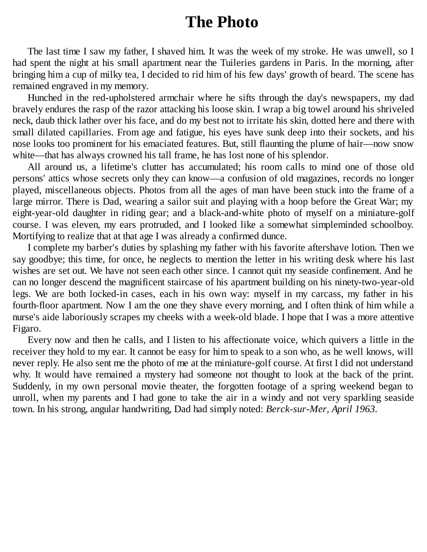#### **The Photo**

The last time I saw my father, I shaved him. It was the week of my stroke. He was unwell, so I had spent the night at his small apartment near the Tuileries gardens in Paris. In the morning, after bringing him a cup of milky tea, I decided to rid him of his few days' growth of beard. The scene has remained engraved in my memory.

Hunched in the red-upholstered armchair where he sifts through the day's newspapers, my dad bravely endures the rasp of the razor attacking his loose skin. I wrap a big towel around his shriveled neck, daub thick lather over his face, and do my best not to irritate his skin, dotted here and there with small dilated capillaries. From age and fatigue, his eyes have sunk deep into their sockets, and his nose looks too prominent for his emaciated features. But, still flaunting the plume of hair—now snow white—that has always crowned his tall frame, he has lost none of his splendor.

All around us, a lifetime's clutter has accumulated; his room calls to mind one of those old persons' attics whose secrets only they can know—a confusion of old magazines, records no longer played, miscellaneous objects. Photos from all the ages of man have been stuck into the frame of a large mirror. There is Dad, wearing a sailor suit and playing with a hoop before the Great War; my eight-year-old daughter in riding gear; and a black-and-white photo of myself on a miniature-golf course. I was eleven, my ears protruded, and I looked like a somewhat simpleminded schoolboy. Mortifying to realize that at that age I was already a confirmed dunce.

I complete my barber's duties by splashing my father with his favorite aftershave lotion. Then we say goodbye; this time, for once, he neglects to mention the letter in his writing desk where his last wishes are set out. We have not seen each other since. I cannot quit my seaside confinement. And he can no longer descend the magnificent staircase of his apartment building on his ninety-two-year-old legs. We are both locked-in cases, each in his own way: myself in my carcass, my father in his fourth-floor apartment. Now I am the one they shave every morning, and I often think of him while a nurse's aide laboriously scrapes my cheeks with a week-old blade. I hope that I was a more attentive Figaro.

Every now and then he calls, and I listen to his affectionate voice, which quivers a little in the receiver they hold to my ear. It cannot be easy for him to speak to a son who, as he well knows, will never reply. He also sent me the photo of me at the miniature-golf course. At first I did not understand why. It would have remained a mystery had someone not thought to look at the back of the print. Suddenly, in my own personal movie theater, the forgotten footage of a spring weekend began to unroll, when my parents and I had gone to take the air in a windy and not very sparkling seaside town. In his strong, angular handwriting, Dad had simply noted: *Berck-sur-Mer, April 1963*.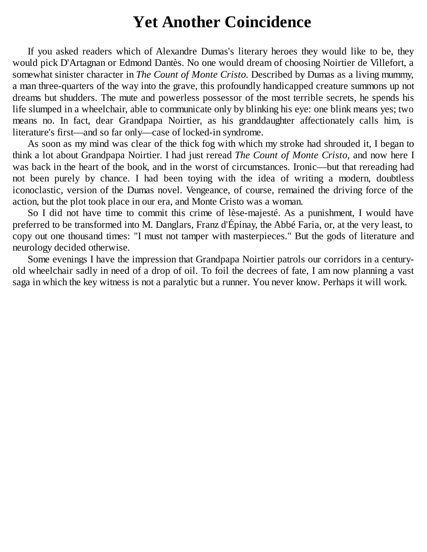#### **Yet Another Coincidence**

If you asked readers which of Alexandre Dumas's literary heroes they would like to be, they would pick D'Artagnan or Edmond Dantès. No one would dream of choosing Noirtier de Villefort, a somewhat sinister character in *The Count of Monte Cristo*. Described by Dumas as a living mummy, a man three-quarters of the way into the grave, this profoundly handicapped creature summons up not dreams but shudders. The mute and powerless possessor of the most terrible secrets, he spends his life slumped in a wheelchair, able to communicate only by blinking his eye: one blink means yes; two means no. In fact, dear Grandpapa Noirtier, as his granddaughter affectionately calls him, is literature's first—and so far only—case of locked-in syndrome.

As soon as my mind was clear of the thick fog with which my stroke had shrouded it, I began to think a lot about Grandpapa Noirtier. I had just reread *The Count of Monte Cristo*, and now here I was back in the heart of the book, and in the worst of circumstances. Ironic—but that rereading had not been purely by chance. I had been toying with the idea of writing a modern, doubtless iconoclastic, version of the Dumas novel. Vengeance, of course, remained the driving force of the action, but the plot took place in our era, and Monte Cristo was a woman.

So I did not have time to commit this crime of lèse-majesté. As a punishment, I would have preferred to be transformed into M. Danglars, Franz d'Épinay, the Abbé Faria, or, at the very least, to copy out one thousand times: "I must not tamper with masterpieces." But the gods of literature and neurology decided otherwise.

Some evenings I have the impression that Grandpapa Noirtier patrols our corridors in a centuryold wheelchair sadly in need of a drop of oil. To foil the decrees of fate, I am now planning a vast saga in which the key witness is not a paralytic but a runner. You never know. Perhaps it will work.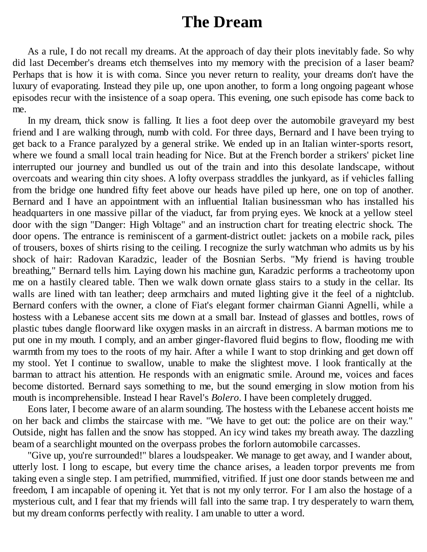### **The Dream**

As a rule, I do not recall my dreams. At the approach of day their plots inevitably fade. So why did last December's dreams etch themselves into my memory with the precision of a laser beam? Perhaps that is how it is with coma. Since you never return to reality, your dreams don't have the luxury of evaporating. Instead they pile up, one upon another, to form a long ongoing pageant whose episodes recur with the insistence of a soap opera. This evening, one such episode has come back to me.

In my dream, thick snow is falling. It lies a foot deep over the automobile graveyard my best friend and I are walking through, numb with cold. For three days, Bernard and I have been trying to get back to a France paralyzed by a general strike. We ended up in an Italian winter-sports resort, where we found a small local train heading for Nice. But at the French border a strikers' picket line interrupted our journey and bundled us out of the train and into this desolate landscape, without overcoats and wearing thin city shoes. A lofty overpass straddles the junkyard, as if vehicles falling from the bridge one hundred fifty feet above our heads have piled up here, one on top of another. Bernard and I have an appointment with an influential Italian businessman who has installed his headquarters in one massive pillar of the viaduct, far from prying eyes. We knock at a yellow steel door with the sign "Danger: High Voltage" and an instruction chart for treating electric shock. The door opens. The entrance is reminiscent of a garment-district outlet: jackets on a mobile rack, piles of trousers, boxes of shirts rising to the ceiling. I recognize the surly watchman who admits us by his shock of hair: Radovan Karadzic, leader of the Bosnian Serbs. "My friend is having trouble breathing," Bernard tells him. Laying down his machine gun, Karadzic performs a tracheotomy upon me on a hastily cleared table. Then we walk down ornate glass stairs to a study in the cellar. Its walls are lined with tan leather; deep armchairs and muted lighting give it the feel of a nightclub. Bernard confers with the owner, a clone of Fiat's elegant former chairman Gianni Agnelli, while a hostess with a Lebanese accent sits me down at a small bar. Instead of glasses and bottles, rows of plastic tubes dangle floorward like oxygen masks in an aircraft in distress. A barman motions me to put one in my mouth. I comply, and an amber ginger-flavored fluid begins to flow, flooding me with warmth from my toes to the roots of my hair. After a while I want to stop drinking and get down off my stool. Yet I continue to swallow, unable to make the slightest move. I look frantically at the barman to attract his attention. He responds with an enigmatic smile. Around me, voices and faces become distorted. Bernard says something to me, but the sound emerging in slow motion from his mouth is incomprehensible. Instead I hear Ravel's *Bolero*. I have been completely drugged.

Eons later, I become aware of an alarm sounding. The hostess with the Lebanese accent hoists me on her back and climbs the staircase with me. "We have to get out: the police are on their way." Outside, night has fallen and the snow has stopped. An icy wind takes my breath away. The dazzling beam of a searchlight mounted on the overpass probes the forlorn automobile carcasses.

"Give up, you're surrounded!" blares a loudspeaker. We manage to get away, and I wander about, utterly lost. I long to escape, but every time the chance arises, a leaden torpor prevents me from taking even a single step. I am petrified, mummified, vitrified. If just one door stands between me and freedom, I am incapable of opening it. Yet that is not my only terror. For I am also the hostage of a mysterious cult, and I fear that my friends will fall into the same trap. I try desperately to warn them, but my dream conforms perfectly with reality. I am unable to utter a word.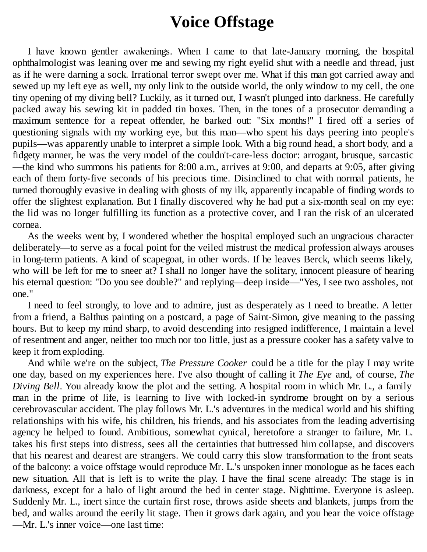## **Voice Offstage**

I have known gentler awakenings. When I came to that late-January morning, the hospital ophthalmologist was leaning over me and sewing my right eyelid shut with a needle and thread, just as if he were darning a sock. Irrational terror swept over me. What if this man got carried away and sewed up my left eye as well, my only link to the outside world, the only window to my cell, the one tiny opening of my diving bell? Luckily, as it turned out, I wasn't plunged into darkness. He carefully packed away his sewing kit in padded tin boxes. Then, in the tones of a prosecutor demanding a maximum sentence for a repeat offender, he barked out: "Six months!" I fired off a series of questioning signals with my working eye, but this man—who spent his days peering into people's pupils—was apparently unable to interpret a simple look. With a big round head, a short body, and a fidgety manner, he was the very model of the couldn't-care-less doctor: arrogant, brusque, sarcastic —the kind who summons his patients for 8:00 a.m., arrives at 9:00, and departs at 9:05, after giving each of them forty-five seconds of his precious time. Disinclined to chat with normal patients, he turned thoroughly evasive in dealing with ghosts of my ilk, apparently incapable of finding words to offer the slightest explanation. But I finally discovered why he had put a six-month seal on my eye: the lid was no longer fulfilling its function as a protective cover, and I ran the risk of an ulcerated cornea.

As the weeks went by, I wondered whether the hospital employed such an ungracious character deliberately—to serve as a focal point for the veiled mistrust the medical profession always arouses in long-term patients. A kind of scapegoat, in other words. If he leaves Berck, which seems likely, who will be left for me to sneer at? I shall no longer have the solitary, innocent pleasure of hearing his eternal question: "Do you see double?" and replying—deep inside—"Yes, I see two assholes, not one."

I need to feel strongly, to love and to admire, just as desperately as I need to breathe. A letter from a friend, a Balthus painting on a postcard, a page of Saint-Simon, give meaning to the passing hours. But to keep my mind sharp, to avoid descending into resigned indifference, I maintain a level of resentment and anger, neither too much nor too little, just as a pressure cooker has a safety valve to keep it from exploding.

And while we're on the subject, *The Pressure Cooker* could be a title for the play I may write one day, based on my experiences here. I've also thought of calling it *The Eye* and, of course, *The Diving Bell*. You already know the plot and the setting. A hospital room in which Mr. L., a family man in the prime of life, is learning to live with locked-in syndrome brought on by a serious cerebrovascular accident. The play follows Mr. L.'s adventures in the medical world and his shifting relationships with his wife, his children, his friends, and his associates from the leading advertising agency he helped to found. Ambitious, somewhat cynical, heretofore a stranger to failure, Mr. L. takes his first steps into distress, sees all the certainties that buttressed him collapse, and discovers that his nearest and dearest are strangers. We could carry this slow transformation to the front seats of the balcony: a voice offstage would reproduce Mr. L.'s unspoken inner monologue as he faces each new situation. All that is left is to write the play. I have the final scene already: The stage is in darkness, except for a halo of light around the bed in center stage. Nighttime. Everyone is asleep. Suddenly Mr. L., inert since the curtain first rose, throws aside sheets and blankets, jumps from the bed, and walks around the eerily lit stage. Then it grows dark again, and you hear the voice offstage —Mr. L.'s inner voice—one last time: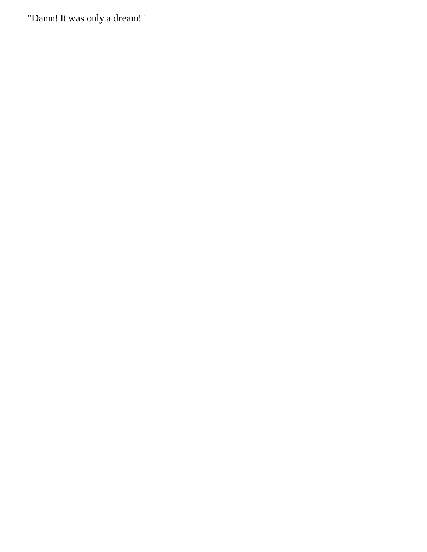"Damn! It was only a dream!"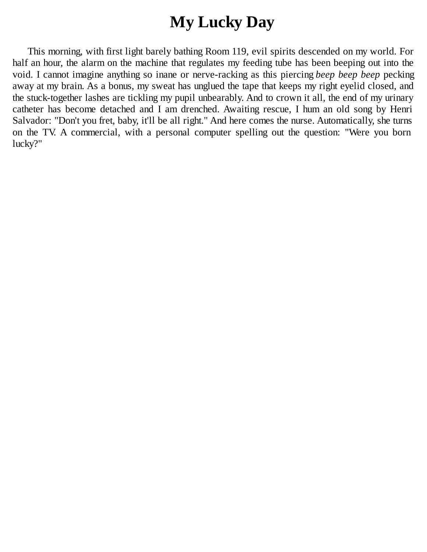## **My Lucky Day**

This morning, with first light barely bathing Room 119, evil spirits descended on my world. For half an hour, the alarm on the machine that regulates my feeding tube has been beeping out into the void. I cannot imagine anything so inane or nerve-racking as this piercing *beep beep beep* pecking away at my brain. As a bonus, my sweat has unglued the tape that keeps my right eyelid closed, and the stuck-together lashes are tickling my pupil unbearably. And to crown it all, the end of my urinary catheter has become detached and I am drenched. Awaiting rescue, I hum an old song by Henri Salvador: "Don't you fret, baby, it'll be all right." And here comes the nurse. Automatically, she turns on the TV. A commercial, with a personal computer spelling out the question: "Were you born lucky?"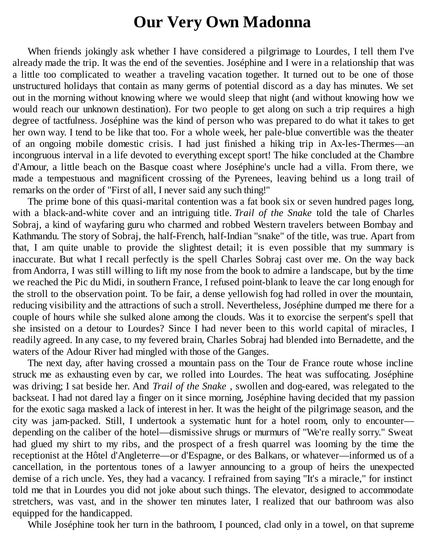#### **Our Very Own Madonna**

When friends jokingly ask whether I have considered a pilgrimage to Lourdes, I tell them I've already made the trip. It was the end of the seventies. Joséphine and I were in a relationship that was a little too complicated to weather a traveling vacation together. It turned out to be one of those unstructured holidays that contain as many germs of potential discord as a day has minutes. We set out in the morning without knowing where we would sleep that night (and without knowing how we would reach our unknown destination). For two people to get along on such a trip requires a high degree of tactfulness. Joséphine was the kind of person who was prepared to do what it takes to get her own way. I tend to be like that too. For a whole week, her pale-blue convertible was the theater of an ongoing mobile domestic crisis. I had just finished a hiking trip in Ax-les-Thermes—an incongruous interval in a life devoted to everything except sport! The hike concluded at the Chambre d'Amour, a little beach on the Basque coast where Joséphine's uncle had a villa. From there, we made a tempestuous and magnificent crossing of the Pyrenees, leaving behind us a long trail of remarks on the order of "First of all, I never said any such thing!"

The prime bone of this quasi-marital contention was a fat book six or seven hundred pages long, with a black-and-white cover and an intriguing title. *Trail of the Snake* told the tale of Charles Sobraj, a kind of wayfaring guru who charmed and robbed Western travelers between Bombay and Kathmandu. The story of Sobraj, the half-French, half-Indian "snake" of the title, was true. Apart from that, I am quite unable to provide the slightest detail; it is even possible that my summary is inaccurate. But what I recall perfectly is the spell Charles Sobraj cast over me. On the way back fromAndorra, I was still willing to lift my nose from the book to admire a landscape, but by the time we reached the Pic du Midi, in southern France, I refused point-blank to leave the car long enough for the stroll to the observation point. To be fair, a dense yellowish fog had rolled in over the mountain, reducing visibility and the attractions of such a stroll. Nevertheless, Joséphine dumped me there for a couple of hours while she sulked alone among the clouds. Was it to exorcise the serpent's spell that she insisted on a detour to Lourdes? Since I had never been to this world capital of miracles, I readily agreed. In any case, to my fevered brain, Charles Sobraj had blended into Bernadette, and the waters of the Adour River had mingled with those of the Ganges.

The next day, after having crossed a mountain pass on the Tour de France route whose incline struck me as exhausting even by car, we rolled into Lourdes. The heat was suffocating. Joséphine was driving; I sat beside her. And *Trail of the Snake* , swollen and dog-eared, was relegated to the backseat. I had not dared lay a finger on it since morning, Joséphine having decided that my passion for the exotic saga masked a lack of interest in her. It was the height of the pilgrimage season, and the city was jam-packed. Still, I undertook a systematic hunt for a hotel room, only to encounter depending on the caliber of the hotel—dismissive shrugs or murmurs of "We're really sorry." Sweat had glued my shirt to my ribs, and the prospect of a fresh quarrel was looming by the time the receptionist at the Hôtel d'Angleterre—or d'Espagne, or des Balkans, or whatever—informed us of a cancellation, in the portentous tones of a lawyer announcing to a group of heirs the unexpected demise of a rich uncle. Yes, they had a vacancy. I refrained from saying "It's a miracle," for instinct told me that in Lourdes you did not joke about such things. The elevator, designed to accommodate stretchers, was vast, and in the shower ten minutes later, I realized that our bathroom was also equipped for the handicapped.

While Joséphine took her turn in the bathroom, I pounced, clad only in a towel, on that supreme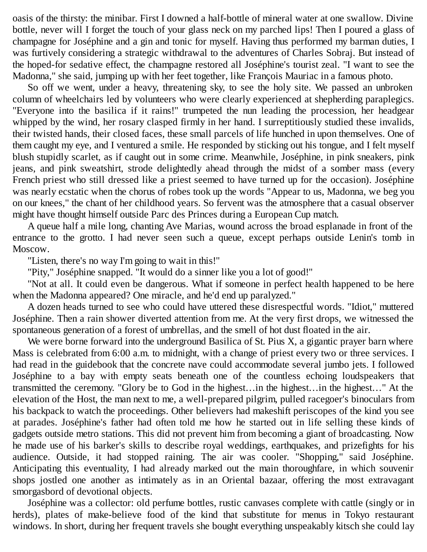oasis of the thirsty: the minibar. First I downed a half-bottle of mineral water at one swallow. Divine bottle, never will I forget the touch of your glass neck on my parched lips! Then I poured a glass of champagne for Joséphine and a gin and tonic for myself. Having thus performed my barman duties, I was furtively considering a strategic withdrawal to the adventures of Charles Sobraj. But instead of the hoped-for sedative effect, the champagne restored all Joséphine's tourist zeal. "I want to see the Madonna," she said, jumping up with her feet together, like François Mauriac in a famous photo.

So off we went, under a heavy, threatening sky, to see the holy site. We passed an unbroken column of wheelchairs led by volunteers who were clearly experienced at shepherding paraplegics. "Everyone into the basilica if it rains!" trumpeted the nun leading the procession, her headgear whipped by the wind, her rosary clasped firmly in her hand. I surreptitiously studied these invalids, their twisted hands, their closed faces, these small parcels of life hunched in upon themselves. One of them caught my eye, and I ventured a smile. He responded by sticking out his tongue, and I felt myself blush stupidly scarlet, as if caught out in some crime. Meanwhile, Joséphine, in pink sneakers, pink jeans, and pink sweatshirt, strode delightedly ahead through the midst of a somber mass (every French priest who still dressed like a priest seemed to have turned up for the occasion). Joséphine was nearly ecstatic when the chorus of robes took up the words "Appear to us, Madonna, we beg you on our knees," the chant of her childhood years. So fervent was the atmosphere that a casual observer might have thought himself outside Parc des Princes during a European Cup match.

A queue half a mile long, chanting Ave Marias, wound across the broad esplanade in front of the entrance to the grotto. I had never seen such a queue, except perhaps outside Lenin's tomb in Moscow.

"Listen, there's no way I'm going to wait in this!"

"Pity," Joséphine snapped. "It would do a sinner like you a lot of good!"

"Not at all. It could even be dangerous. What if someone in perfect health happened to be here when the Madonna appeared? One miracle, and he'd end up paralyzed."

A dozen heads turned to see who could have uttered these disrespectful words. "Idiot," muttered Joséphine. Then a rain shower diverted attention from me. At the very first drops, we witnessed the spontaneous generation of a forest of umbrellas, and the smell of hot dust floated in the air.

We were borne forward into the underground Basilica of St. Pius X, a gigantic prayer barn where Mass is celebrated from 6:00 a.m. to midnight, with a change of priest every two or three services. I had read in the guidebook that the concrete nave could accommodate several jumbo jets. I followed Joséphine to a bay with empty seats beneath one of the countless echoing loudspeakers that transmitted the ceremony. "Glory be to God in the highest…in the highest…in the highest…" At the elevation of the Host, the man next to me, a well-prepared pilgrim, pulled racegoer's binoculars from his backpack to watch the proceedings. Other believers had makeshift periscopes of the kind you see at parades. Joséphine's father had often told me how he started out in life selling these kinds of gadgets outside metro stations. This did not prevent him from becoming a giant of broadcasting. Now he made use of his barker's skills to describe royal weddings, earthquakes, and prizefights for his audience. Outside, it had stopped raining. The air was cooler. "Shopping," said Joséphine. Anticipating this eventuality, I had already marked out the main thoroughfare, in which souvenir shops jostled one another as intimately as in an Oriental bazaar, offering the most extravagant smorgasbord of devotional objects.

Joséphine was a collector: old perfume bottles, rustic canvases complete with cattle (singly or in herds), plates of make-believe food of the kind that substitute for menus in Tokyo restaurant windows. In short, during her frequent travels she bought everything unspeakably kitsch she could lay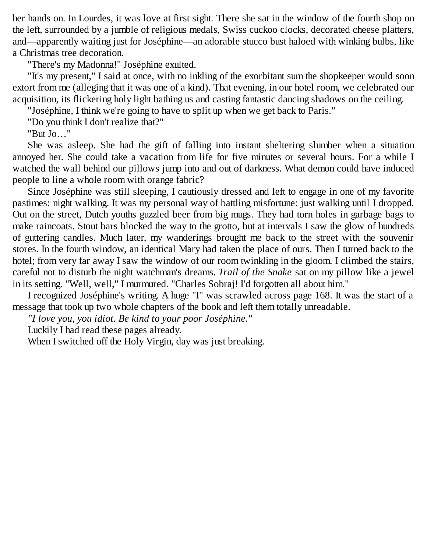her hands on. In Lourdes, it was love at first sight. There she sat in the window of the fourth shop on the left, surrounded by a jumble of religious medals, Swiss cuckoo clocks, decorated cheese platters, and—apparently waiting just for Joséphine—an adorable stucco bust haloed with winking bulbs, like a Christmas tree decoration.

"There's my Madonna!" Joséphine exulted.

"It's my present," I said at once, with no inkling of the exorbitant sum the shopkeeper would soon extort from me (alleging that it was one of a kind). That evening, in our hotel room, we celebrated our acquisition, its flickering holy light bathing us and casting fantastic dancing shadows on the ceiling.

"Joséphine, I think we're going to have to split up when we get back to Paris."

"Do you think I don't realize that?"

"But Jo…"

She was asleep. She had the gift of falling into instant sheltering slumber when a situation annoyed her. She could take a vacation from life for five minutes or several hours. For a while I watched the wall behind our pillows jump into and out of darkness. What demon could have induced people to line a whole room with orange fabric?

Since Joséphine was still sleeping, I cautiously dressed and left to engage in one of my favorite pastimes: night walking. It was my personal way of battling misfortune: just walking until I dropped. Out on the street, Dutch youths guzzled beer from big mugs. They had torn holes in garbage bags to make raincoats. Stout bars blocked the way to the grotto, but at intervals I saw the glow of hundreds of guttering candles. Much later, my wanderings brought me back to the street with the souvenir stores. In the fourth window, an identical Mary had taken the place of ours. Then I turned back to the hotel; from very far away I saw the window of our room twinkling in the gloom. I climbed the stairs, careful not to disturb the night watchman's dreams. *Trail of the Snake* sat on my pillow like a jewel in its setting. "Well, well," I murmured. "Charles Sobraj! I'd forgotten all about him."

I recognized Joséphine's writing. A huge "I" was scrawled across page 168. It was the start of a message that took up two whole chapters of the book and left them totally unreadable.

*"I love you, you idiot. Be kind to your poor Joséphine."*

Luckily I had read these pages already.

When I switched off the Holy Virgin, day was just breaking.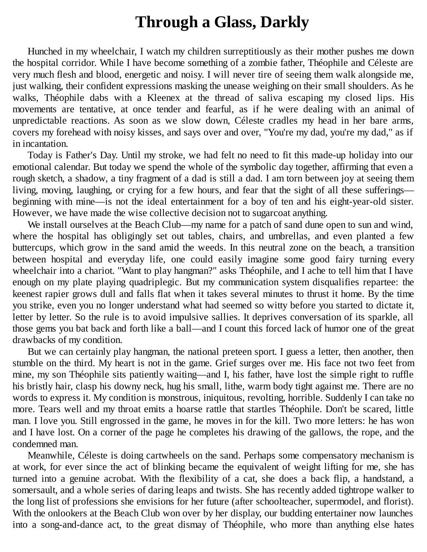#### **Through a Glass, Darkly**

Hunched in my wheelchair, I watch my children surreptitiously as their mother pushes me down the hospital corridor. While I have become something of a zombie father, Théophile and Céleste are very much flesh and blood, energetic and noisy. I will never tire of seeing them walk alongside me, just walking, their confident expressions masking the unease weighing on their small shoulders. As he walks, Théophile dabs with a Kleenex at the thread of saliva escaping my closed lips. His movements are tentative, at once tender and fearful, as if he were dealing with an animal of unpredictable reactions. As soon as we slow down, Céleste cradles my head in her bare arms, covers my forehead with noisy kisses, and says over and over, "You're my dad, you're my dad," as if in incantation.

Today is Father's Day. Until my stroke, we had felt no need to fit this made-up holiday into our emotional calendar. But today we spend the whole of the symbolic day together, affirming that even a rough sketch, a shadow, a tiny fragment of a dad is still a dad. I am torn between joy at seeing them living, moving, laughing, or crying for a few hours, and fear that the sight of all these sufferings beginning with mine—is not the ideal entertainment for a boy of ten and his eight-year-old sister. However, we have made the wise collective decision not to sugarcoat anything.

We install ourselves at the Beach Club—my name for a patch of sand dune open to sun and wind, where the hospital has obligingly set out tables, chairs, and umbrellas, and even planted a few buttercups, which grow in the sand amid the weeds. In this neutral zone on the beach, a transition between hospital and everyday life, one could easily imagine some good fairy turning every wheelchair into a chariot. "Want to play hangman?" asks Théophile, and I ache to tell him that I have enough on my plate playing quadriplegic. But my communication system disqualifies repartee: the keenest rapier grows dull and falls flat when it takes several minutes to thrust it home. By the time you strike, even you no longer understand what had seemed so witty before you started to dictate it, letter by letter. So the rule is to avoid impulsive sallies. It deprives conversation of its sparkle, all those gems you bat back and forth like a ball—and I count this forced lack of humor one of the great drawbacks of my condition.

But we can certainly play hangman, the national preteen sport. I guess a letter, then another, then stumble on the third. My heart is not in the game. Grief surges over me. His face not two feet from mine, my son Théophile sits patiently waiting—and I, his father, have lost the simple right to ruffle his bristly hair, clasp his downy neck, hug his small, lithe, warm body tight against me. There are no words to express it. My condition is monstrous, iniquitous, revolting, horrible. Suddenly I can take no more. Tears well and my throat emits a hoarse rattle that startles Théophile. Don't be scared, little man. I love you. Still engrossed in the game, he moves in for the kill. Two more letters: he has won and I have lost. On a corner of the page he completes his drawing of the gallows, the rope, and the condemned man.

Meanwhile, Céleste is doing cartwheels on the sand. Perhaps some compensatory mechanism is at work, for ever since the act of blinking became the equivalent of weight lifting for me, she has turned into a genuine acrobat. With the flexibility of a cat, she does a back flip, a handstand, a somersault, and a whole series of daring leaps and twists. She has recently added tightrope walker to the long list of professions she envisions for her future (after schoolteacher, supermodel, and florist). With the onlookers at the Beach Club won over by her display, our budding entertainer now launches into a song-and-dance act, to the great dismay of Théophile, who more than anything else hates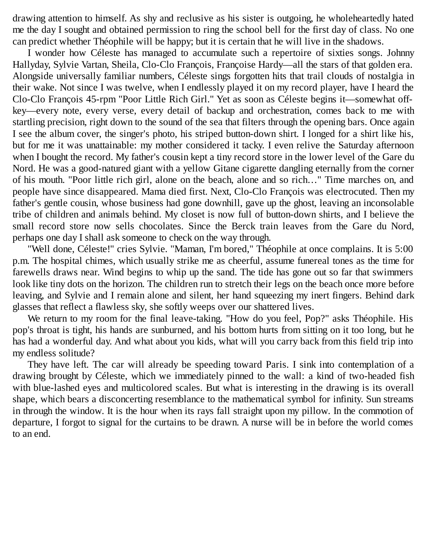drawing attention to himself. As shy and reclusive as his sister is outgoing, he wholeheartedly hated me the day I sought and obtained permission to ring the school bell for the first day of class. No one can predict whether Théophile will be happy; but it is certain that he will live in the shadows.

I wonder how Céleste has managed to accumulate such a repertoire of sixties songs. Johnny Hallyday, Sylvie Vartan, Sheila, Clo-Clo François, Françoise Hardy—all the stars of that golden era. Alongside universally familiar numbers, Céleste sings forgotten hits that trail clouds of nostalgia in their wake. Not since I was twelve, when I endlessly played it on my record player, have I heard the Clo-Clo François 45-rpm "Poor Little Rich Girl." Yet as soon as Céleste begins it—somewhat offkey—every note, every verse, every detail of backup and orchestration, comes back to me with startling precision, right down to the sound of the sea that filters through the opening bars. Once again I see the album cover, the singer's photo, his striped button-down shirt. I longed for a shirt like his, but for me it was unattainable: my mother considered it tacky. I even relive the Saturday afternoon when I bought the record. My father's cousin kept a tiny record store in the lower level of the Gare du Nord. He was a good-natured giant with a yellow Gitane cigarette dangling eternally from the corner of his mouth. "Poor little rich girl, alone on the beach, alone and so rich…" Time marches on, and people have since disappeared. Mama died first. Next, Clo-Clo François was electrocuted. Then my father's gentle cousin, whose business had gone downhill, gave up the ghost, leaving an inconsolable tribe of children and animals behind. My closet is now full of button-down shirts, and I believe the small record store now sells chocolates. Since the Berck train leaves from the Gare du Nord, perhaps one day I shall ask someone to check on the way through.

"Well done, Céleste!" cries Sylvie. "Maman, I'm bored," Théophile at once complains. It is 5:00 p.m. The hospital chimes, which usually strike me as cheerful, assume funereal tones as the time for farewells draws near. Wind begins to whip up the sand. The tide has gone out so far that swimmers look like tiny dots on the horizon. The children run to stretch their legs on the beach once more before leaving, and Sylvie and I remain alone and silent, her hand squeezing my inert fingers. Behind dark glasses that reflect a flawless sky, she softly weeps over our shattered lives.

We return to my room for the final leave-taking. "How do you feel, Pop?" asks Théophile. His pop's throat is tight, his hands are sunburned, and his bottom hurts from sitting on it too long, but he has had a wonderful day. And what about you kids, what will you carry back from this field trip into my endless solitude?

They have left. The car will already be speeding toward Paris. I sink into contemplation of a drawing brought by Céleste, which we immediately pinned to the wall: a kind of two-headed fish with blue-lashed eyes and multicolored scales. But what is interesting in the drawing is its overall shape, which bears a disconcerting resemblance to the mathematical symbol for infinity. Sun streams in through the window. It is the hour when its rays fall straight upon my pillow. In the commotion of departure, I forgot to signal for the curtains to be drawn. A nurse will be in before the world comes to an end.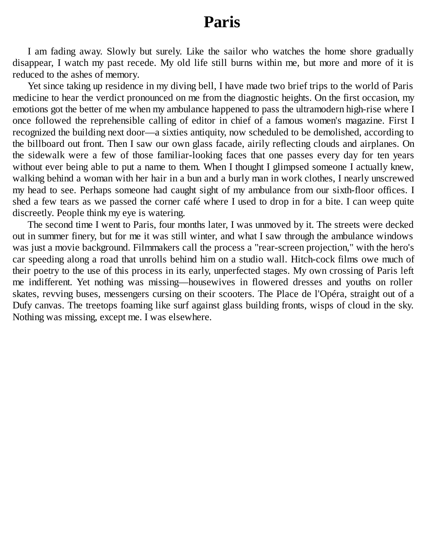#### **Paris**

I am fading away. Slowly but surely. Like the sailor who watches the home shore gradually disappear, I watch my past recede. My old life still burns within me, but more and more of it is reduced to the ashes of memory.

Yet since taking up residence in my diving bell, I have made two brief trips to the world of Paris medicine to hear the verdict pronounced on me from the diagnostic heights. On the first occasion, my emotions got the better of me when my ambulance happened to pass the ultramodern high-rise where I once followed the reprehensible calling of editor in chief of a famous women's magazine. First I recognized the building next door—a sixties antiquity, now scheduled to be demolished, according to the billboard out front. Then I saw our own glass facade, airily reflecting clouds and airplanes. On the sidewalk were a few of those familiar-looking faces that one passes every day for ten years without ever being able to put a name to them. When I thought I glimpsed someone I actually knew, walking behind a woman with her hair in a bun and a burly man in work clothes, I nearly unscrewed my head to see. Perhaps someone had caught sight of my ambulance from our sixth-floor offices. I shed a few tears as we passed the corner café where I used to drop in for a bite. I can weep quite discreetly. People think my eye is watering.

The second time I went to Paris, four months later, I was unmoved by it. The streets were decked out in summer finery, but for me it was still winter, and what I saw through the ambulance windows was just a movie background. Filmmakers call the process a "rear-screen projection," with the hero's car speeding along a road that unrolls behind him on a studio wall. Hitch-cock films owe much of their poetry to the use of this process in its early, unperfected stages. My own crossing of Paris left me indifferent. Yet nothing was missing—housewives in flowered dresses and youths on roller skates, revving buses, messengers cursing on their scooters. The Place de l'Opéra, straight out of a Dufy canvas. The treetops foaming like surf against glass building fronts, wisps of cloud in the sky. Nothing was missing, except me. I was elsewhere.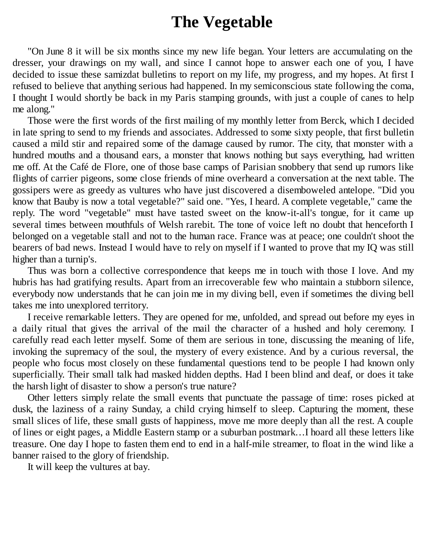#### **The Vegetable**

"On June 8 it will be six months since my new life began. Your letters are accumulating on the dresser, your drawings on my wall, and since I cannot hope to answer each one of you, I have decided to issue these samizdat bulletins to report on my life, my progress, and my hopes. At first I refused to believe that anything serious had happened. In my semiconscious state following the coma, I thought I would shortly be back in my Paris stamping grounds, with just a couple of canes to help me along."

Those were the first words of the first mailing of my monthly letter from Berck, which I decided in late spring to send to my friends and associates. Addressed to some sixty people, that first bulletin caused a mild stir and repaired some of the damage caused by rumor. The city, that monster with a hundred mouths and a thousand ears, a monster that knows nothing but says everything, had written me off. At the Café de Flore, one of those base camps of Parisian snobbery that send up rumors like flights of carrier pigeons, some close friends of mine overheard a conversation at the next table. The gossipers were as greedy as vultures who have just discovered a disemboweled antelope. "Did you know that Bauby is now a total vegetable?" said one. "Yes, I heard. A complete vegetable," came the reply. The word "vegetable" must have tasted sweet on the know-it-all's tongue, for it came up several times between mouthfuls of Welsh rarebit. The tone of voice left no doubt that henceforth I belonged on a vegetable stall and not to the human race. France was at peace; one couldn't shoot the bearers of bad news. Instead I would have to rely on myself if I wanted to prove that my IQ was still higher than a turnip's.

Thus was born a collective correspondence that keeps me in touch with those I love. And my hubris has had gratifying results. Apart from an irrecoverable few who maintain a stubborn silence, everybody now understands that he can join me in my diving bell, even if sometimes the diving bell takes me into unexplored territory.

I receive remarkable letters. They are opened for me, unfolded, and spread out before my eyes in a daily ritual that gives the arrival of the mail the character of a hushed and holy ceremony. I carefully read each letter myself. Some of them are serious in tone, discussing the meaning of life, invoking the supremacy of the soul, the mystery of every existence. And by a curious reversal, the people who focus most closely on these fundamental questions tend to be people I had known only superficially. Their small talk had masked hidden depths. Had I been blind and deaf, or does it take the harsh light of disaster to show a person's true nature?

Other letters simply relate the small events that punctuate the passage of time: roses picked at dusk, the laziness of a rainy Sunday, a child crying himself to sleep. Capturing the moment, these small slices of life, these small gusts of happiness, move me more deeply than all the rest. A couple of lines or eight pages, a Middle Eastern stamp or a suburban postmark…I hoard all these letters like treasure. One day I hope to fasten them end to end in a half-mile streamer, to float in the wind like a banner raised to the glory of friendship.

It will keep the vultures at bay.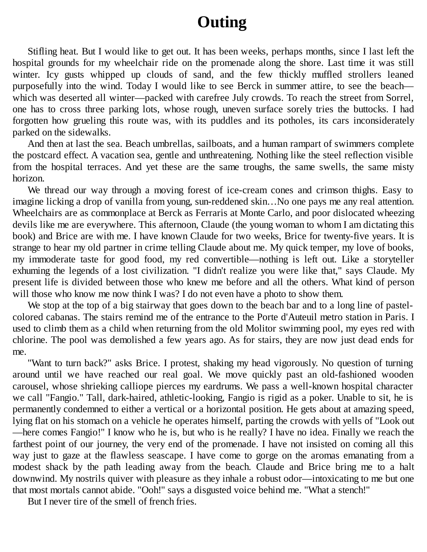#### **Outing**

Stifling heat. But I would like to get out. It has been weeks, perhaps months, since I last left the hospital grounds for my wheelchair ride on the promenade along the shore. Last time it was still winter. Icy gusts whipped up clouds of sand, and the few thickly muffled strollers leaned purposefully into the wind. Today I would like to see Berck in summer attire, to see the beach which was deserted all winter—packed with carefree July crowds. To reach the street from Sorrel, one has to cross three parking lots, whose rough, uneven surface sorely tries the buttocks. I had forgotten how grueling this route was, with its puddles and its potholes, its cars inconsiderately parked on the sidewalks.

And then at last the sea. Beach umbrellas, sailboats, and a human rampart of swimmers complete the postcard effect. A vacation sea, gentle and unthreatening. Nothing like the steel reflection visible from the hospital terraces. And yet these are the same troughs, the same swells, the same misty horizon.

We thread our way through a moving forest of ice-cream cones and crimson thighs. Easy to imagine licking a drop of vanilla from young, sun-reddened skin...No one pays me any real attention. Wheelchairs are as commonplace at Berck as Ferraris at Monte Carlo, and poor dislocated wheezing devils like me are everywhere. This afternoon, Claude (the young woman to whom I am dictating this book) and Brice are with me. I have known Claude for two weeks, Brice for twenty-five years. It is strange to hear my old partner in crime telling Claude about me. My quick temper, my love of books, my immoderate taste for good food, my red convertible—nothing is left out. Like a storyteller exhuming the legends of a lost civilization. "I didn't realize you were like that," says Claude. My present life is divided between those who knew me before and all the others. What kind of person will those who know me now think I was? I do not even have a photo to show them.

We stop at the top of a big stairway that goes down to the beach bar and to a long line of pastelcolored cabanas. The stairs remind me of the entrance to the Porte d'Auteuil metro station in Paris. I used to climb them as a child when returning from the old Molitor swimming pool, my eyes red with chlorine. The pool was demolished a few years ago. As for stairs, they are now just dead ends for me.

"Want to turn back?" asks Brice. I protest, shaking my head vigorously. No question of turning around until we have reached our real goal. We move quickly past an old-fashioned wooden carousel, whose shrieking calliope pierces my eardrums. We pass a well-known hospital character we call "Fangio." Tall, dark-haired, athletic-looking, Fangio is rigid as a poker. Unable to sit, he is permanently condemned to either a vertical or a horizontal position. He gets about at amazing speed, lying flat on his stomach on a vehicle he operates himself, parting the crowds with yells of "Look out —here comes Fangio!" I know who he is, but who is he really? I have no idea. Finally we reach the farthest point of our journey, the very end of the promenade. I have not insisted on coming all this way just to gaze at the flawless seascape. I have come to gorge on the aromas emanating from a modest shack by the path leading away from the beach. Claude and Brice bring me to a halt downwind. My nostrils quiver with pleasure as they inhale a robust odor—intoxicating to me but one that most mortals cannot abide. "Ooh!" says a disgusted voice behind me. "What a stench!"

But I never tire of the smell of french fries.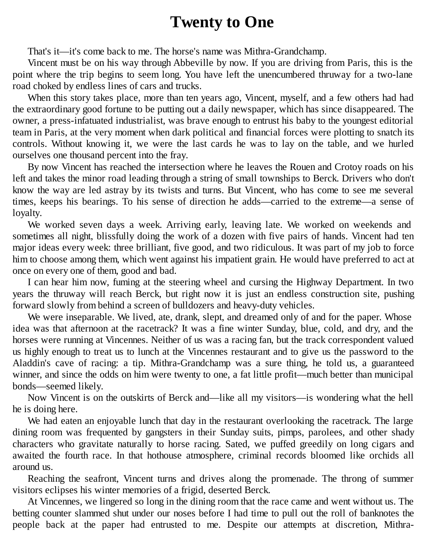#### **Twenty to One**

That's it—it's come back to me. The horse's name was Mithra-Grandchamp.

Vincent must be on his way through Abbeville by now. If you are driving from Paris, this is the point where the trip begins to seem long. You have left the unencumbered thruway for a two-lane road choked by endless lines of cars and trucks.

When this story takes place, more than ten years ago, Vincent, myself, and a few others had had the extraordinary good fortune to be putting out a daily newspaper, which has since disappeared. The owner, a press-infatuated industrialist, was brave enough to entrust his baby to the youngest editorial team in Paris, at the very moment when dark political and financial forces were plotting to snatch its controls. Without knowing it, we were the last cards he was to lay on the table, and we hurled ourselves one thousand percent into the fray.

By now Vincent has reached the intersection where he leaves the Rouen and Crotoy roads on his left and takes the minor road leading through a string of small townships to Berck. Drivers who don't know the way are led astray by its twists and turns. But Vincent, who has come to see me several times, keeps his bearings. To his sense of direction he adds—carried to the extreme—a sense of loyalty.

We worked seven days a week. Arriving early, leaving late. We worked on weekends and sometimes all night, blissfully doing the work of a dozen with five pairs of hands. Vincent had ten major ideas every week: three brilliant, five good, and two ridiculous. It was part of my job to force him to choose among them, which went against his impatient grain. He would have preferred to act at once on every one of them, good and bad.

I can hear him now, fuming at the steering wheel and cursing the Highway Department. In two years the thruway will reach Berck, but right now it is just an endless construction site, pushing forward slowly from behind a screen of bulldozers and heavy-duty vehicles.

We were inseparable. We lived, ate, drank, slept, and dreamed only of and for the paper. Whose idea was that afternoon at the racetrack? It was a fine winter Sunday, blue, cold, and dry, and the horses were running at Vincennes. Neither of us was a racing fan, but the track correspondent valued us highly enough to treat us to lunch at the Vincennes restaurant and to give us the password to the Aladdin's cave of racing: a tip. Mithra-Grandchamp was a sure thing, he told us, a guaranteed winner, and since the odds on him were twenty to one, a fat little profit—much better than municipal bonds—seemed likely.

Now Vincent is on the outskirts of Berck and—like all my visitors—is wondering what the hell he is doing here.

We had eaten an enjoyable lunch that day in the restaurant overlooking the racetrack. The large dining room was frequented by gangsters in their Sunday suits, pimps, parolees, and other shady characters who gravitate naturally to horse racing. Sated, we puffed greedily on long cigars and awaited the fourth race. In that hothouse atmosphere, criminal records bloomed like orchids all around us.

Reaching the seafront, Vincent turns and drives along the promenade. The throng of summer visitors eclipses his winter memories of a frigid, deserted Berck.

At Vincennes, we lingered so long in the dining room that the race came and went without us. The betting counter slammed shut under our noses before I had time to pull out the roll of banknotes the people back at the paper had entrusted to me. Despite our attempts at discretion, Mithra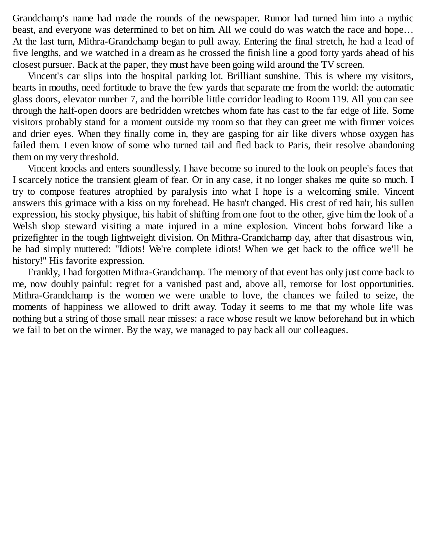Grandchamp's name had made the rounds of the newspaper. Rumor had turned him into a mythic beast, and everyone was determined to bet on him. All we could do was watch the race and hope… At the last turn, Mithra-Grandchamp began to pull away. Entering the final stretch, he had a lead of five lengths, and we watched in a dream as he crossed the finish line a good forty yards ahead of his closest pursuer. Back at the paper, they must have been going wild around the TV screen.

Vincent's car slips into the hospital parking lot. Brilliant sunshine. This is where my visitors, hearts in mouths, need fortitude to brave the few yards that separate me from the world: the automatic glass doors, elevator number 7, and the horrible little corridor leading to Room 119. All you can see through the half-open doors are bedridden wretches whom fate has cast to the far edge of life. Some visitors probably stand for a moment outside my room so that they can greet me with firmer voices and drier eyes. When they finally come in, they are gasping for air like divers whose oxygen has failed them. I even know of some who turned tail and fled back to Paris, their resolve abandoning them on my very threshold.

Vincent knocks and enters soundlessly. I have become so inured to the look on people's faces that I scarcely notice the transient gleam of fear. Or in any case, it no longer shakes me quite so much. I try to compose features atrophied by paralysis into what I hope is a welcoming smile. Vincent answers this grimace with a kiss on my forehead. He hasn't changed. His crest of red hair, his sullen expression, his stocky physique, his habit of shifting from one foot to the other, give him the look of a Welsh shop steward visiting a mate injured in a mine explosion. Vincent bobs forward like a prizefighter in the tough lightweight division. On Mithra-Grandchamp day, after that disastrous win, he had simply muttered: "Idiots! We're complete idiots! When we get back to the office we'll be history!" His favorite expression.

Frankly, I had forgotten Mithra-Grandchamp. The memory of that event has only just come back to me, now doubly painful: regret for a vanished past and, above all, remorse for lost opportunities. Mithra-Grandchamp is the women we were unable to love, the chances we failed to seize, the moments of happiness we allowed to drift away. Today it seems to me that my whole life was nothing but a string of those small near misses: a race whose result we know beforehand but in which we fail to bet on the winner. By the way, we managed to pay back all our colleagues.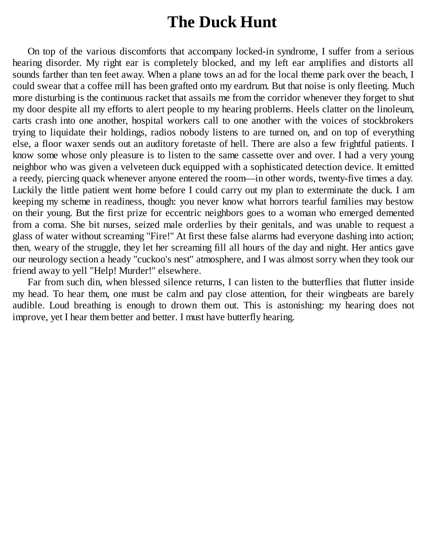## **The Duck Hunt**

On top of the various discomforts that accompany locked-in syndrome, I suffer from a serious hearing disorder. My right ear is completely blocked, and my left ear amplifies and distorts all sounds farther than ten feet away. When a plane tows an ad for the local theme park over the beach, I could swear that a coffee mill has been grafted onto my eardrum. But that noise is only fleeting. Much more disturbing is the continuous racket that assails me from the corridor whenever they forget to shut my door despite all my efforts to alert people to my hearing problems. Heels clatter on the linoleum, carts crash into one another, hospital workers call to one another with the voices of stockbrokers trying to liquidate their holdings, radios nobody listens to are turned on, and on top of everything else, a floor waxer sends out an auditory foretaste of hell. There are also a few frightful patients. I know some whose only pleasure is to listen to the same cassette over and over. I had a very young neighbor who was given a velveteen duck equipped with a sophisticated detection device. It emitted a reedy, piercing quack whenever anyone entered the room—in other words, twenty-five times a day. Luckily the little patient went home before I could carry out my plan to exterminate the duck. I am keeping my scheme in readiness, though: you never know what horrors tearful families may bestow on their young. But the first prize for eccentric neighbors goes to a woman who emerged demented from a coma. She bit nurses, seized male orderlies by their genitals, and was unable to request a glass of water without screaming "Fire!" At first these false alarms had everyone dashing into action; then, weary of the struggle, they let her screaming fill all hours of the day and night. Her antics gave our neurology section a heady "cuckoo's nest" atmosphere, and I was almost sorry when they took our friend away to yell "Help! Murder!" elsewhere.

Far from such din, when blessed silence returns, I can listen to the butterflies that flutter inside my head. To hear them, one must be calm and pay close attention, for their wingbeats are barely audible. Loud breathing is enough to drown them out. This is astonishing: my hearing does not improve, yet I hear them better and better. I must have butterfly hearing.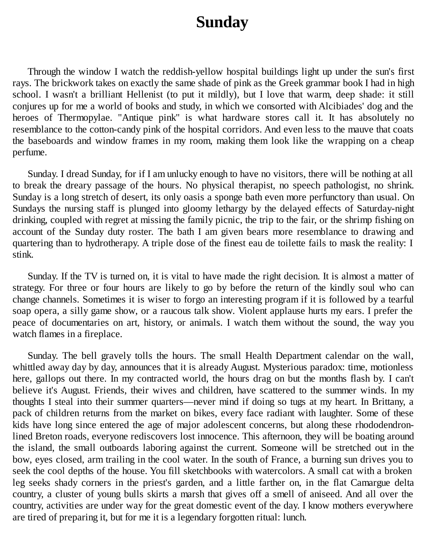#### **Sunday**

Through the window I watch the reddish-yellow hospital buildings light up under the sun's first rays. The brickwork takes on exactly the same shade of pink as the Greek grammar book I had in high school. I wasn't a brilliant Hellenist (to put it mildly), but I love that warm, deep shade: it still conjures up for me a world of books and study, in which we consorted with Alcibiades' dog and the heroes of Thermopylae. "Antique pink" is what hardware stores call it. It has absolutely no resemblance to the cotton-candy pink of the hospital corridors. And even less to the mauve that coats the baseboards and window frames in my room, making them look like the wrapping on a cheap perfume.

Sunday. I dread Sunday, for if I am unlucky enough to have no visitors, there will be nothing at all to break the dreary passage of the hours. No physical therapist, no speech pathologist, no shrink. Sunday is a long stretch of desert, its only oasis a sponge bath even more perfunctory than usual. On Sundays the nursing staff is plunged into gloomy lethargy by the delayed effects of Saturday-night drinking, coupled with regret at missing the family picnic, the trip to the fair, or the shrimp fishing on account of the Sunday duty roster. The bath I am given bears more resemblance to drawing and quartering than to hydrotherapy. A triple dose of the finest eau de toilette fails to mask the reality: I stink.

Sunday. If the TV is turned on, it is vital to have made the right decision. It is almost a matter of strategy. For three or four hours are likely to go by before the return of the kindly soul who can change channels. Sometimes it is wiser to forgo an interesting program if it is followed by a tearful soap opera, a silly game show, or a raucous talk show. Violent applause hurts my ears. I prefer the peace of documentaries on art, history, or animals. I watch them without the sound, the way you watch flames in a fireplace.

Sunday. The bell gravely tolls the hours. The small Health Department calendar on the wall, whittled away day by day, announces that it is already August. Mysterious paradox: time, motionless here, gallops out there. In my contracted world, the hours drag on but the months flash by. I can't believe it's August. Friends, their wives and children, have scattered to the summer winds. In my thoughts I steal into their summer quarters—never mind if doing so tugs at my heart. In Brittany, a pack of children returns from the market on bikes, every face radiant with laughter. Some of these kids have long since entered the age of major adolescent concerns, but along these rhododendronlined Breton roads, everyone rediscovers lost innocence. This afternoon, they will be boating around the island, the small outboards laboring against the current. Someone will be stretched out in the bow, eyes closed, arm trailing in the cool water. In the south of France, a burning sun drives you to seek the cool depths of the house. You fill sketchbooks with watercolors. A small cat with a broken leg seeks shady corners in the priest's garden, and a little farther on, in the flat Camargue delta country, a cluster of young bulls skirts a marsh that gives off a smell of aniseed. And all over the country, activities are under way for the great domestic event of the day. I know mothers everywhere are tired of preparing it, but for me it is a legendary forgotten ritual: lunch.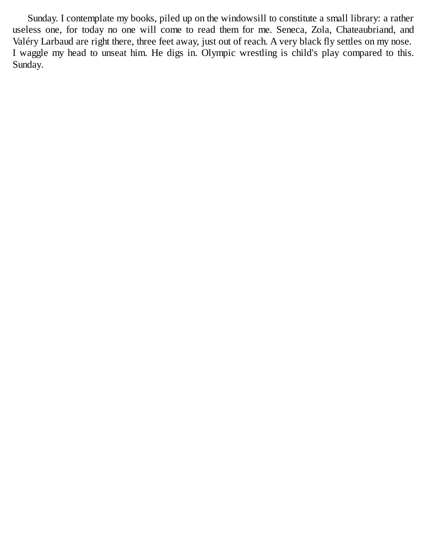Sunday. I contemplate my books, piled up on the windowsill to constitute a small library: a rather useless one, for today no one will come to read them for me. Seneca, Zola, Chateaubriand, and Valéry Larbaud are right there, three feet away, just out of reach. A very black fly settles on my nose. I waggle my head to unseat him. He digs in. Olympic wrestling is child's play compared to this. Sunday.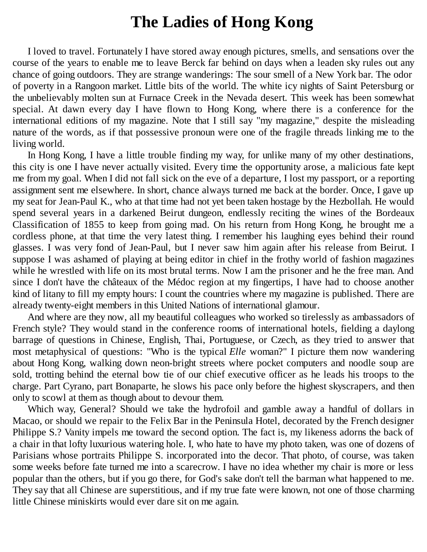#### **The Ladies of Hong Kong**

I loved to travel. Fortunately I have stored away enough pictures, smells, and sensations over the course of the years to enable me to leave Berck far behind on days when a leaden sky rules out any chance of going outdoors. They are strange wanderings: The sour smell of a New York bar. The odor of poverty in a Rangoon market. Little bits of the world. The white icy nights of Saint Petersburg or the unbelievably molten sun at Furnace Creek in the Nevada desert. This week has been somewhat special. At dawn every day I have flown to Hong Kong, where there is a conference for the international editions of my magazine. Note that I still say "my magazine," despite the misleading nature of the words, as if that possessive pronoun were one of the fragile threads linking me to the living world.

In Hong Kong, I have a little trouble finding my way, for unlike many of my other destinations, this city is one I have never actually visited. Every time the opportunity arose, a malicious fate kept me from my goal. When I did not fall sick on the eve of a departure, I lost my passport, or a reporting assignment sent me elsewhere. In short, chance always turned me back at the border. Once, I gave up my seat for Jean-Paul K., who at that time had not yet been taken hostage by the Hezbollah. He would spend several years in a darkened Beirut dungeon, endlessly reciting the wines of the Bordeaux Classification of 1855 to keep from going mad. On his return from Hong Kong, he brought me a cordless phone, at that time the very latest thing. I remember his laughing eyes behind their round glasses. I was very fond of Jean-Paul, but I never saw him again after his release from Beirut. I suppose I was ashamed of playing at being editor in chief in the frothy world of fashion magazines while he wrestled with life on its most brutal terms. Now I am the prisoner and he the free man. And since I don't have the châteaux of the Médoc region at my fingertips, I have had to choose another kind of litany to fill my empty hours: I count the countries where my magazine is published. There are already twenty-eight members in this United Nations of international glamour.

And where are they now, all my beautiful colleagues who worked so tirelessly as ambassadors of French style? They would stand in the conference rooms of international hotels, fielding a daylong barrage of questions in Chinese, English, Thai, Portuguese, or Czech, as they tried to answer that most metaphysical of questions: "Who is the typical *Elle* woman?" I picture them now wandering about Hong Kong, walking down neon-bright streets where pocket computers and noodle soup are sold, trotting behind the eternal bow tie of our chief executive officer as he leads his troops to the charge. Part Cyrano, part Bonaparte, he slows his pace only before the highest skyscrapers, and then only to scowl at them as though about to devour them.

Which way, General? Should we take the hydrofoil and gamble away a handful of dollars in Macao, or should we repair to the Felix Bar in the Peninsula Hotel, decorated by the French designer Philippe S.? Vanity impels me toward the second option. The fact is, my likeness adorns the back of a chair in that lofty luxurious watering hole. I, who hate to have my photo taken, was one of dozens of Parisians whose portraits Philippe S. incorporated into the decor. That photo, of course, was taken some weeks before fate turned me into a scarecrow. I have no idea whether my chair is more or less popular than the others, but if you go there, for God's sake don't tell the barman what happened to me. They say that all Chinese are superstitious, and if my true fate were known, not one of those charming little Chinese miniskirts would ever dare sit on me again.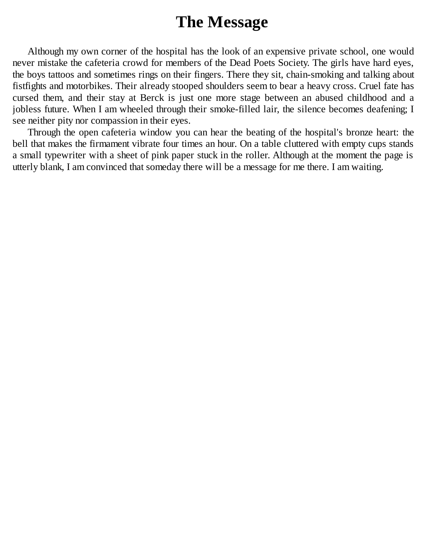## **The Message**

Although my own corner of the hospital has the look of an expensive private school, one would never mistake the cafeteria crowd for members of the Dead Poets Society. The girls have hard eyes, the boys tattoos and sometimes rings on their fingers. There they sit, chain-smoking and talking about fistfights and motorbikes. Their already stooped shoulders seem to bear a heavy cross. Cruel fate has cursed them, and their stay at Berck is just one more stage between an abused childhood and a jobless future. When I am wheeled through their smoke-filled lair, the silence becomes deafening; I see neither pity nor compassion in their eyes.

Through the open cafeteria window you can hear the beating of the hospital's bronze heart: the bell that makes the firmament vibrate four times an hour. On a table cluttered with empty cups stands a small typewriter with a sheet of pink paper stuck in the roller. Although at the moment the page is utterly blank, I am convinced that someday there will be a message for me there. I am waiting.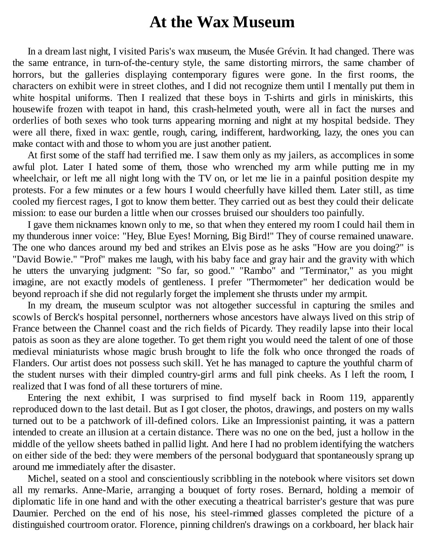#### **At the Wax Museum**

In a dream last night, I visited Paris's wax museum, the Musée Grévin. It had changed. There was the same entrance, in turn-of-the-century style, the same distorting mirrors, the same chamber of horrors, but the galleries displaying contemporary figures were gone. In the first rooms, the characters on exhibit were in street clothes, and I did not recognize them until I mentally put them in white hospital uniforms. Then I realized that these boys in T-shirts and girls in miniskirts, this housewife frozen with teapot in hand, this crash-helmeted youth, were all in fact the nurses and orderlies of both sexes who took turns appearing morning and night at my hospital bedside. They were all there, fixed in wax: gentle, rough, caring, indifferent, hardworking, lazy, the ones you can make contact with and those to whom you are just another patient.

At first some of the staff had terrified me. I saw them only as my jailers, as accomplices in some awful plot. Later I hated some of them, those who wrenched my arm while putting me in my wheelchair, or left me all night long with the TV on, or let me lie in a painful position despite my protests. For a few minutes or a few hours I would cheerfully have killed them. Later still, as time cooled my fiercest rages, I got to know them better. They carried out as best they could their delicate mission: to ease our burden a little when our crosses bruised our shoulders too painfully.

I gave them nicknames known only to me, so that when they entered my room I could hail them in my thunderous inner voice: "Hey, Blue Eyes! Morning, Big Bird!" They of course remained unaware. The one who dances around my bed and strikes an Elvis pose as he asks "How are you doing?" is "David Bowie." "Prof" makes me laugh, with his baby face and gray hair and the gravity with which he utters the unvarying judgment: "So far, so good." "Rambo" and "Terminator," as you might imagine, are not exactly models of gentleness. I prefer "Thermometer" her dedication would be beyond reproach if she did not regularly forget the implement she thrusts under my armpit.

In my dream, the museum sculptor was not altogether successful in capturing the smiles and scowls of Berck's hospital personnel, northerners whose ancestors have always lived on this strip of France between the Channel coast and the rich fields of Picardy. They readily lapse into their local patois as soon as they are alone together. To get them right you would need the talent of one of those medieval miniaturists whose magic brush brought to life the folk who once thronged the roads of Flanders. Our artist does not possess such skill. Yet he has managed to capture the youthful charm of the student nurses with their dimpled country-girl arms and full pink cheeks. As I left the room, I realized that I was fond of all these torturers of mine.

Entering the next exhibit, I was surprised to find myself back in Room 119, apparently reproduced down to the last detail. But as I got closer, the photos, drawings, and posters on my walls turned out to be a patchwork of ill-defined colors. Like an Impressionist painting, it was a pattern intended to create an illusion at a certain distance. There was no one on the bed, just a hollow in the middle of the yellow sheets bathed in pallid light. And here I had no problem identifying the watchers on either side of the bed: they were members of the personal bodyguard that spontaneously sprang up around me immediately after the disaster.

Michel, seated on a stool and conscientiously scribbling in the notebook where visitors set down all my remarks. Anne-Marie, arranging a bouquet of forty roses. Bernard, holding a memoir of diplomatic life in one hand and with the other executing a theatrical barrister's gesture that was pure Daumier. Perched on the end of his nose, his steel-rimmed glasses completed the picture of a distinguished courtroom orator. Florence, pinning children's drawings on a corkboard, her black hair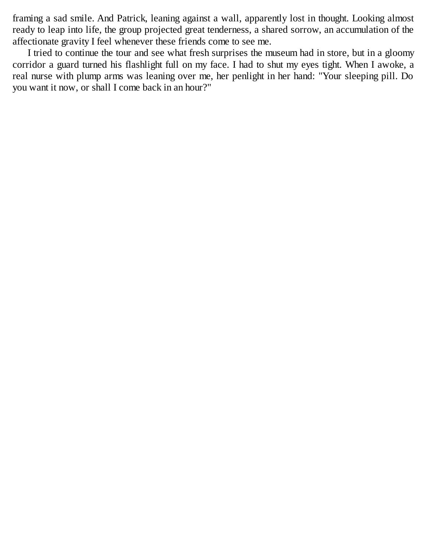framing a sad smile. And Patrick, leaning against a wall, apparently lost in thought. Looking almost ready to leap into life, the group projected great tenderness, a shared sorrow, an accumulation of the affectionate gravity I feel whenever these friends come to see me.

I tried to continue the tour and see what fresh surprises the museum had in store, but in a gloomy corridor a guard turned his flashlight full on my face. I had to shut my eyes tight. When I awoke, a real nurse with plump arms was leaning over me, her penlight in her hand: "Your sleeping pill. Do you want it now, or shall I come back in an hour?"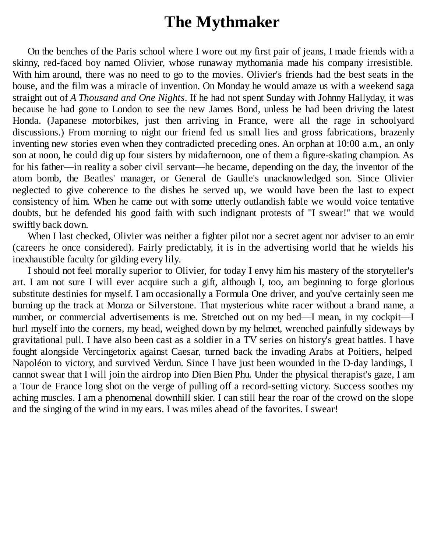#### **The Mythmaker**

On the benches of the Paris school where I wore out my first pair of jeans, I made friends with a skinny, red-faced boy named Olivier, whose runaway mythomania made his company irresistible. With him around, there was no need to go to the movies. Olivier's friends had the best seats in the house, and the film was a miracle of invention. On Monday he would amaze us with a weekend saga straight out of *A Thousand and One Nights*. If he had not spent Sunday with Johnny Hallyday, it was because he had gone to London to see the new James Bond, unless he had been driving the latest Honda. (Japanese motorbikes, just then arriving in France, were all the rage in schoolyard discussions.) From morning to night our friend fed us small lies and gross fabrications, brazenly inventing new stories even when they contradicted preceding ones. An orphan at 10:00 a.m., an only son at noon, he could dig up four sisters by midafternoon, one of them a figure-skating champion. As for his father—in reality a sober civil servant—he became, depending on the day, the inventor of the atom bomb, the Beatles' manager, or General de Gaulle's unacknowledged son. Since Olivier neglected to give coherence to the dishes he served up, we would have been the last to expect consistency of him. When he came out with some utterly outlandish fable we would voice tentative doubts, but he defended his good faith with such indignant protests of "I swear!" that we would swiftly back down.

When I last checked, Olivier was neither a fighter pilot nor a secret agent nor adviser to an emir (careers he once considered). Fairly predictably, it is in the advertising world that he wields his inexhaustible faculty for gilding every lily.

I should not feel morally superior to Olivier, for today I envy him his mastery of the storyteller's art. I am not sure I will ever acquire such a gift, although I, too, am beginning to forge glorious substitute destinies for myself. I am occasionally a Formula One driver, and you've certainly seen me burning up the track at Monza or Silverstone. That mysterious white racer without a brand name, a number, or commercial advertisements is me. Stretched out on my bed—I mean, in my cockpit—I hurl myself into the corners, my head, weighed down by my helmet, wrenched painfully sideways by gravitational pull. I have also been cast as a soldier in a TV series on history's great battles. I have fought alongside Vercingetorix against Caesar, turned back the invading Arabs at Poitiers, helped Napoléon to victory, and survived Verdun. Since I have just been wounded in the D-day landings, I cannot swear that I will join the airdrop into Dien Bien Phu. Under the physical therapist's gaze, I am a Tour de France long shot on the verge of pulling off a record-setting victory. Success soothes my aching muscles. I am a phenomenal downhill skier. I can still hear the roar of the crowd on the slope and the singing of the wind in my ears. I was miles ahead of the favorites. I swear!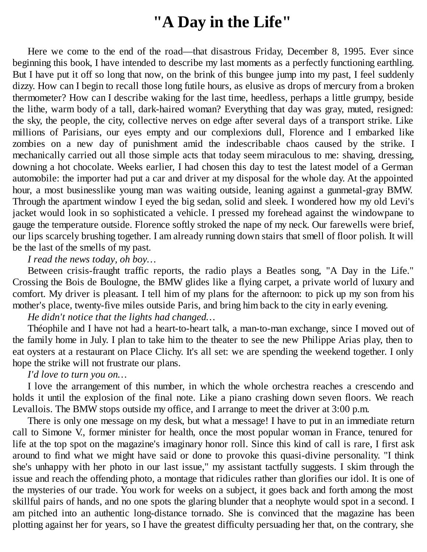#### **"A Day in the Life"**

Here we come to the end of the road—that disastrous Friday, December 8, 1995. Ever since beginning this book, I have intended to describe my last moments as a perfectly functioning earthling. But I have put it off so long that now, on the brink of this bungee jump into my past, I feel suddenly dizzy. How can I begin to recall those long futile hours, as elusive as drops of mercury from a broken thermometer? How can I describe waking for the last time, heedless, perhaps a little grumpy, beside the lithe, warm body of a tall, dark-haired woman? Everything that day was gray, muted, resigned: the sky, the people, the city, collective nerves on edge after several days of a transport strike. Like millions of Parisians, our eyes empty and our complexions dull, Florence and I embarked like zombies on a new day of punishment amid the indescribable chaos caused by the strike. I mechanically carried out all those simple acts that today seem miraculous to me: shaving, dressing, downing a hot chocolate. Weeks earlier, I had chosen this day to test the latest model of a German automobile: the importer had put a car and driver at my disposal for the whole day. At the appointed hour, a most businesslike young man was waiting outside, leaning against a gunmetal-gray BMW. Through the apartment window I eyed the big sedan, solid and sleek. I wondered how my old Levi's jacket would look in so sophisticated a vehicle. I pressed my forehead against the windowpane to gauge the temperature outside. Florence softly stroked the nape of my neck. Our farewells were brief, our lips scarcely brushing together. I am already running down stairs that smell of floor polish. It will be the last of the smells of my past.

*I read the news today, oh boy…*

Between crisis-fraught traffic reports, the radio plays a Beatles song, "A Day in the Life." Crossing the Bois de Boulogne, the BMW glides like a flying carpet, a private world of luxury and comfort. My driver is pleasant. I tell him of my plans for the afternoon: to pick up my son from his mother's place, twenty-five miles outside Paris, and bring him back to the city in early evening.

*He didn't notice that the lights had changed…*

Théophile and I have not had a heart-to-heart talk, a man-to-man exchange, since I moved out of the family home in July. I plan to take him to the theater to see the new Philippe Arias play, then to eat oysters at a restaurant on Place Clichy. It's all set: we are spending the weekend together. I only hope the strike will not frustrate our plans.

*I'd love to turn you on…*

I love the arrangement of this number, in which the whole orchestra reaches a crescendo and holds it until the explosion of the final note. Like a piano crashing down seven floors. We reach Levallois. The BMW stops outside my office, and I arrange to meet the driver at 3:00 p.m.

There is only one message on my desk, but what a message! I have to put in an immediate return call to Simone V., former minister for health, once the most popular woman in France, tenured for life at the top spot on the magazine's imaginary honor roll. Since this kind of call is rare, I first ask around to find what we might have said or done to provoke this quasi-divine personality. "I think she's unhappy with her photo in our last issue," my assistant tactfully suggests. I skim through the issue and reach the offending photo, a montage that ridicules rather than glorifies our idol. It is one of the mysteries of our trade. You work for weeks on a subject, it goes back and forth among the most skillful pairs of hands, and no one spots the glaring blunder that a neophyte would spot in a second. I am pitched into an authentic long-distance tornado. She is convinced that the magazine has been plotting against her for years, so I have the greatest difficulty persuading her that, on the contrary, she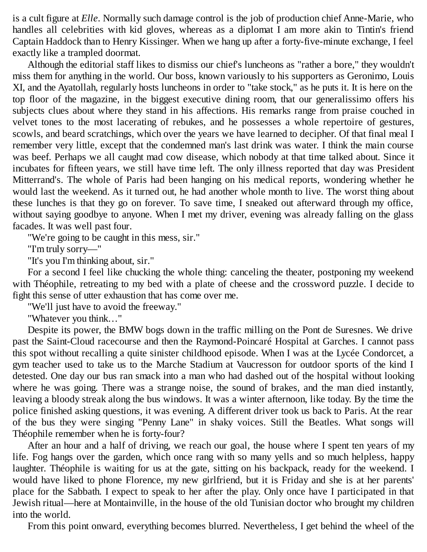is a cult figure at *Elle*. Normally such damage control is the job of production chief Anne-Marie, who handles all celebrities with kid gloves, whereas as a diplomat I am more akin to Tintin's friend Captain Haddock than to Henry Kissinger. When we hang up after a forty-five-minute exchange, I feel exactly like a trampled doormat.

Although the editorial staff likes to dismiss our chief's luncheons as "rather a bore," they wouldn't miss them for anything in the world. Our boss, known variously to his supporters as Geronimo, Louis XI, and the Ayatollah, regularly hosts luncheons in order to "take stock," as he puts it. It is here on the top floor of the magazine, in the biggest executive dining room, that our generalissimo offers his subjects clues about where they stand in his affections. His remarks range from praise couched in velvet tones to the most lacerating of rebukes, and he possesses a whole repertoire of gestures, scowls, and beard scratchings, which over the years we have learned to decipher. Of that final meal I remember very little, except that the condemned man's last drink was water. I think the main course was beef. Perhaps we all caught mad cow disease, which nobody at that time talked about. Since it incubates for fifteen years, we still have time left. The only illness reported that day was President Mitterrand's. The whole of Paris had been hanging on his medical reports, wondering whether he would last the weekend. As it turned out, he had another whole month to live. The worst thing about these lunches is that they go on forever. To save time, I sneaked out afterward through my office, without saying goodbye to anyone. When I met my driver, evening was already falling on the glass facades. It was well past four.

"We're going to be caught in this mess, sir."

"I'm truly sorry—"

"It's you I'm thinking about, sir."

For a second I feel like chucking the whole thing: canceling the theater, postponing my weekend with Théophile, retreating to my bed with a plate of cheese and the crossword puzzle. I decide to fight this sense of utter exhaustion that has come over me.

"We'll just have to avoid the freeway."

"Whatever you think…"

Despite its power, the BMW bogs down in the traffic milling on the Pont de Suresnes. We drive past the Saint-Cloud racecourse and then the Raymond-Poincaré Hospital at Garches. I cannot pass this spot without recalling a quite sinister childhood episode. When I was at the Lycée Condorcet, a gym teacher used to take us to the Marche Stadium at Vaucresson for outdoor sports of the kind I detested. One day our bus ran smack into a man who had dashed out of the hospital without looking where he was going. There was a strange noise, the sound of brakes, and the man died instantly, leaving a bloody streak along the bus windows. It was a winter afternoon, like today. By the time the police finished asking questions, it was evening. A different driver took us back to Paris. At the rear of the bus they were singing "Penny Lane" in shaky voices. Still the Beatles. What songs will Théophile remember when he is forty-four?

After an hour and a half of driving, we reach our goal, the house where I spent ten years of my life. Fog hangs over the garden, which once rang with so many yells and so much helpless, happy laughter. Théophile is waiting for us at the gate, sitting on his backpack, ready for the weekend. I would have liked to phone Florence, my new girlfriend, but it is Friday and she is at her parents' place for the Sabbath. I expect to speak to her after the play. Only once have I participated in that Jewish ritual—here at Montainville, in the house of the old Tunisian doctor who brought my children into the world.

From this point onward, everything becomes blurred. Nevertheless, I get behind the wheel of the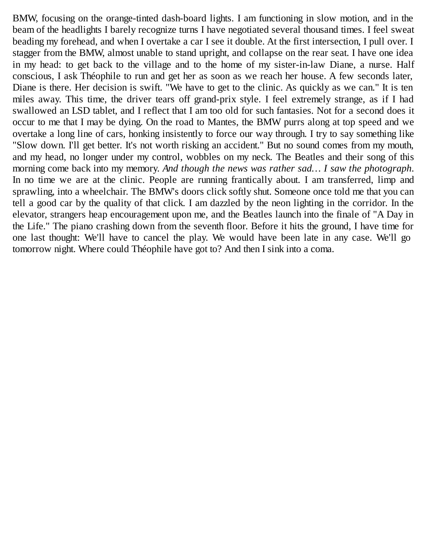BMW, focusing on the orange-tinted dash-board lights. I am functioning in slow motion, and in the beam of the headlights I barely recognize turns I have negotiated several thousand times. I feel sweat beading my forehead, and when I overtake a car I see it double. At the first intersection, I pull over. I stagger from the BMW, almost unable to stand upright, and collapse on the rear seat. I have one idea in my head: to get back to the village and to the home of my sister-in-law Diane, a nurse. Half conscious, I ask Théophile to run and get her as soon as we reach her house. A few seconds later, Diane is there. Her decision is swift. "We have to get to the clinic. As quickly as we can." It is ten miles away. This time, the driver tears off grand-prix style. I feel extremely strange, as if I had swallowed an LSD tablet, and I reflect that I am too old for such fantasies. Not for a second does it occur to me that I may be dying. On the road to Mantes, the BMW purrs along at top speed and we overtake a long line of cars, honking insistently to force our way through. I try to say something like "Slow down. I'll get better. It's not worth risking an accident." But no sound comes from my mouth, and my head, no longer under my control, wobbles on my neck. The Beatles and their song of this morning come back into my memory. *And though the news was rather sad… I saw the photograph*. In no time we are at the clinic. People are running frantically about. I am transferred, limp and sprawling, into a wheelchair. The BMW's doors click softly shut. Someone once told me that you can tell a good car by the quality of that click. I am dazzled by the neon lighting in the corridor. In the elevator, strangers heap encouragement upon me, and the Beatles launch into the finale of "A Day in the Life." The piano crashing down from the seventh floor. Before it hits the ground, I have time for one last thought: We'll have to cancel the play. We would have been late in any case. We'll go tomorrow night. Where could Théophile have got to? And then I sink into a coma.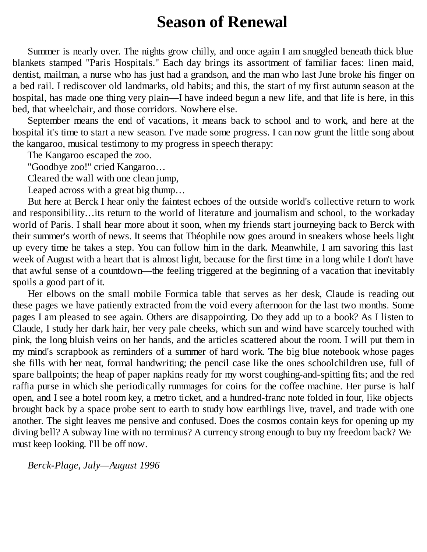#### **Season of Renewal**

Summer is nearly over. The nights grow chilly, and once again I am snuggled beneath thick blue blankets stamped "Paris Hospitals." Each day brings its assortment of familiar faces: linen maid, dentist, mailman, a nurse who has just had a grandson, and the man who last June broke his finger on a bed rail. I rediscover old landmarks, old habits; and this, the start of my first autumn season at the hospital, has made one thing very plain—I have indeed begun a new life, and that life is here, in this bed, that wheelchair, and those corridors. Nowhere else.

September means the end of vacations, it means back to school and to work, and here at the hospital it's time to start a new season. I've made some progress. I can now grunt the little song about the kangaroo, musical testimony to my progress in speech therapy:

The Kangaroo escaped the zoo.

"Goodbye zoo!" cried Kangaroo…

Cleared the wall with one clean jump,

Leaped across with a great big thump…

But here at Berck I hear only the faintest echoes of the outside world's collective return to work and responsibility…its return to the world of literature and journalism and school, to the workaday world of Paris. I shall hear more about it soon, when my friends start journeying back to Berck with their summer's worth of news. It seems that Théophile now goes around in sneakers whose heels light up every time he takes a step. You can follow him in the dark. Meanwhile, I am savoring this last week of August with a heart that is almost light, because for the first time in a long while I don't have that awful sense of a countdown—the feeling triggered at the beginning of a vacation that inevitably spoils a good part of it.

Her elbows on the small mobile Formica table that serves as her desk, Claude is reading out these pages we have patiently extracted from the void every afternoon for the last two months. Some pages I am pleased to see again. Others are disappointing. Do they add up to a book? As I listen to Claude, I study her dark hair, her very pale cheeks, which sun and wind have scarcely touched with pink, the long bluish veins on her hands, and the articles scattered about the room. I will put them in my mind's scrapbook as reminders of a summer of hard work. The big blue notebook whose pages she fills with her neat, formal handwriting; the pencil case like the ones schoolchildren use, full of spare ballpoints; the heap of paper napkins ready for my worst coughing-and-spitting fits; and the red raffia purse in which she periodically rummages for coins for the coffee machine. Her purse is half open, and I see a hotel room key, a metro ticket, and a hundred-franc note folded in four, like objects brought back by a space probe sent to earth to study how earthlings live, travel, and trade with one another. The sight leaves me pensive and confused. Does the cosmos contain keys for opening up my diving bell? A subway line with no terminus? A currency strong enough to buy my freedom back? We must keep looking. I'll be off now.

*Berck-Plage, July—August 1996*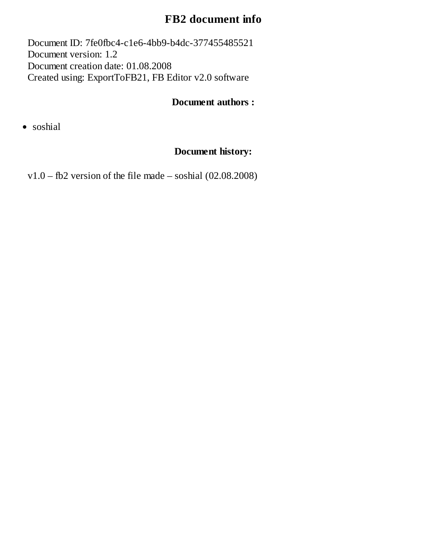#### **FB2 document info**

Document ID: 7fe0fbc4-c1e6-4bb9-b4dc-377455485521 Document version: 1.2 Document creation date: 01.08.2008 Created using: ExportToFB21, FB Editor v2.0 software

#### **Document authors :**

• soshial

#### **Document history:**

 $v1.0 - fb2$  version of the file made – soshial (02.08.2008)